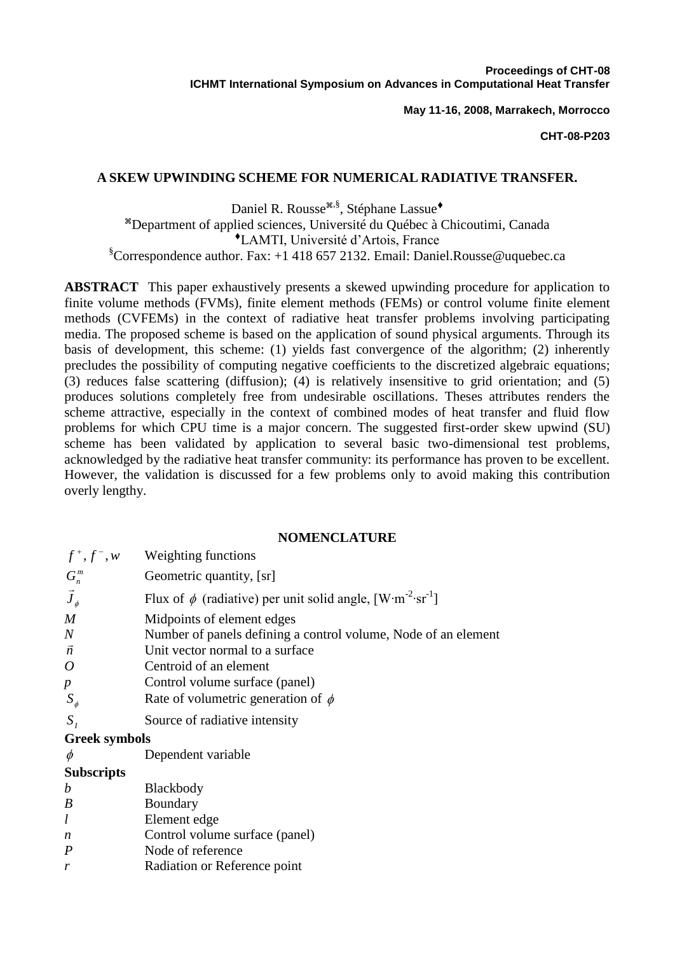**May 11-16, 2008, Marrakech, Morrocco**

#### **CHT-08-P203**

### **A SKEW UPWINDING SCHEME FOR NUMERICAL RADIATIVE TRANSFER.**

Daniel R. Rousse<sup>\*8, §</sup>, Stéphane Lassue<sup>+</sup> Department of applied sciences, Université du Québec à Chicoutimi, Canada LAMTI, Université d'Artois, France  $\S$ Correspondence author. Fax: +1 418 657 2132. Email: [Daniel.Rousse@uquebec.ca](mailto:Daniel_Rousse@uqar.qc.ca)

**ABSTRACT** This paper exhaustively presents a skewed upwinding procedure for application to finite volume methods (FVMs), finite element methods (FEMs) or control volume finite element methods (CVFEMs) in the context of radiative heat transfer problems involving participating media. The proposed scheme is based on the application of sound physical arguments. Through its basis of development, this scheme: (1) yields fast convergence of the algorithm; (2) inherently precludes the possibility of computing negative coefficients to the discretized algebraic equations; (3) reduces false scattering (diffusion); (4) is relatively insensitive to grid orientation; and (5) produces solutions completely free from undesirable oscillations. Theses attributes renders the scheme attractive, especially in the context of combined modes of heat transfer and fluid flow problems for which CPU time is a major concern. The suggested first-order skew upwind (SU) scheme has been validated by application to several basic two-dimensional test problems, acknowledged by the radiative heat transfer community: its performance has proven to be excellent. However, the validation is discussed for a few problems only to avoid making this contribution overly lengthy.

#### **NOMENCLATURE**

| $f^+, f^-, w$                    | Weighting functions                                                                                                             |
|----------------------------------|---------------------------------------------------------------------------------------------------------------------------------|
| $G_n^m$                          | Geometric quantity, [sr]                                                                                                        |
| $\vec{J}_\phi$                   | Flux of $\phi$ (radiative) per unit solid angle, [W·m <sup>-2</sup> ·sr <sup>-1</sup> ]                                         |
| M<br>$\overline{N}$<br>$\vec{n}$ | Midpoints of element edges<br>Number of panels defining a control volume, Node of an element<br>Unit vector normal to a surface |
| $\overline{O}$                   | Centroid of an element                                                                                                          |
| $\boldsymbol{p}$                 | Control volume surface (panel)                                                                                                  |
| $S_{\phi}$                       | Rate of volumetric generation of $\phi$                                                                                         |
| $S_{I}$                          | Source of radiative intensity                                                                                                   |
| <b>Greek symbols</b>             |                                                                                                                                 |
| $\phi$                           | Dependent variable                                                                                                              |
| <b>Subscripts</b>                |                                                                                                                                 |
| b                                | <b>Blackbody</b>                                                                                                                |
| $\boldsymbol{B}$                 | Boundary                                                                                                                        |
| $\iota$                          | Element edge                                                                                                                    |
| n                                | Control volume surface (panel)                                                                                                  |
| $\boldsymbol{P}$                 | Node of reference                                                                                                               |
| r                                | Radiation or Reference point                                                                                                    |
|                                  |                                                                                                                                 |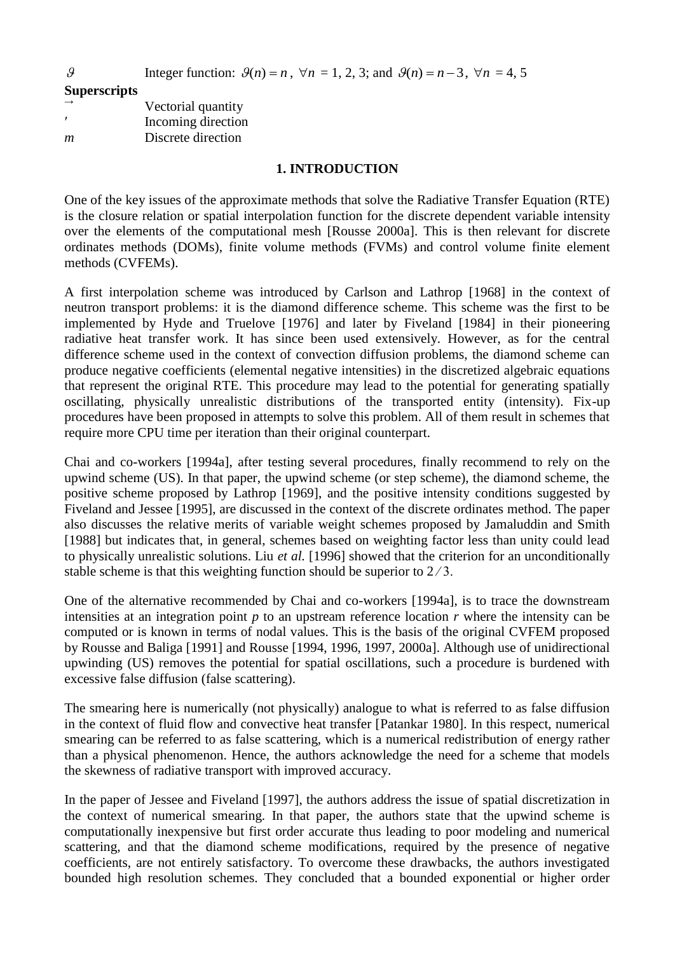Integer function:  $\mathcal{G}(n) = n$ ,  $\forall n = 1, 2, 3$ ; and  $\mathcal{G}(n) = n - 3$ ,  $\forall n = 4, 5$ 

**Superscripts**

 $\overline{Q}$ 

| $\rightarrow$ | Vectorial quantity |
|---------------|--------------------|
|               | Incoming direction |
| m             | Discrete direction |

# **1. INTRODUCTION**

One of the key issues of the approximate methods that solve the Radiative Transfer Equation (RTE) is the closure relation or spatial interpolation function for the discrete dependent variable intensity over the elements of the computational mesh [Rousse 2000a]. This is then relevant for discrete ordinates methods (DOMs), finite volume methods (FVMs) and control volume finite element methods (CVFEMs).

A first interpolation scheme was introduced by Carlson and Lathrop [1968] in the context of neutron transport problems: it is the diamond difference scheme. This scheme was the first to be implemented by Hyde and Truelove [1976] and later by Fiveland [1984] in their pioneering radiative heat transfer work. It has since been used extensively. However, as for the central difference scheme used in the context of convection diffusion problems, the diamond scheme can produce negative coefficients (elemental negative intensities) in the discretized algebraic equations that represent the original RTE. This procedure may lead to the potential for generating spatially oscillating, physically unrealistic distributions of the transported entity (intensity). Fix-up procedures have been proposed in attempts to solve this problem. All of them result in schemes that require more CPU time per iteration than their original counterpart.

Chai and co-workers [1994a], after testing several procedures, finally recommend to rely on the upwind scheme (US). In that paper, the upwind scheme (or step scheme), the diamond scheme, the positive scheme proposed by Lathrop [1969], and the positive intensity conditions suggested by Fiveland and Jessee [1995], are discussed in the context of the discrete ordinates method. The paper also discusses the relative merits of variable weight schemes proposed by Jamaluddin and Smith [1988] but indicates that, in general, schemes based on weighting factor less than unity could lead to physically unrealistic solutions. Liu *et al.* [1996] showed that the criterion for an unconditionally stable scheme is that this weighting function should be superior to  $2/3$ .

One of the alternative recommended by Chai and co-workers [1994a], is to trace the downstream intensities at an integration point *p* to an upstream reference location *r* where the intensity can be computed or is known in terms of nodal values. This is the basis of the original CVFEM proposed by Rousse and Baliga [1991] and Rousse [1994, 1996, 1997, 2000a]. Although use of unidirectional upwinding (US) removes the potential for spatial oscillations, such a procedure is burdened with excessive false diffusion (false scattering).

The smearing here is numerically (not physically) analogue to what is referred to as false diffusion in the context of fluid flow and convective heat transfer [Patankar 1980]. In this respect, numerical smearing can be referred to as false scattering, which is a numerical redistribution of energy rather than a physical phenomenon. Hence, the authors acknowledge the need for a scheme that models the skewness of radiative transport with improved accuracy.

In the paper of Jessee and Fiveland [1997], the authors address the issue of spatial discretization in the context of numerical smearing. In that paper, the authors state that the upwind scheme is computationally inexpensive but first order accurate thus leading to poor modeling and numerical scattering, and that the diamond scheme modifications, required by the presence of negative coefficients, are not entirely satisfactory. To overcome these drawbacks, the authors investigated bounded high resolution schemes. They concluded that a bounded exponential or higher order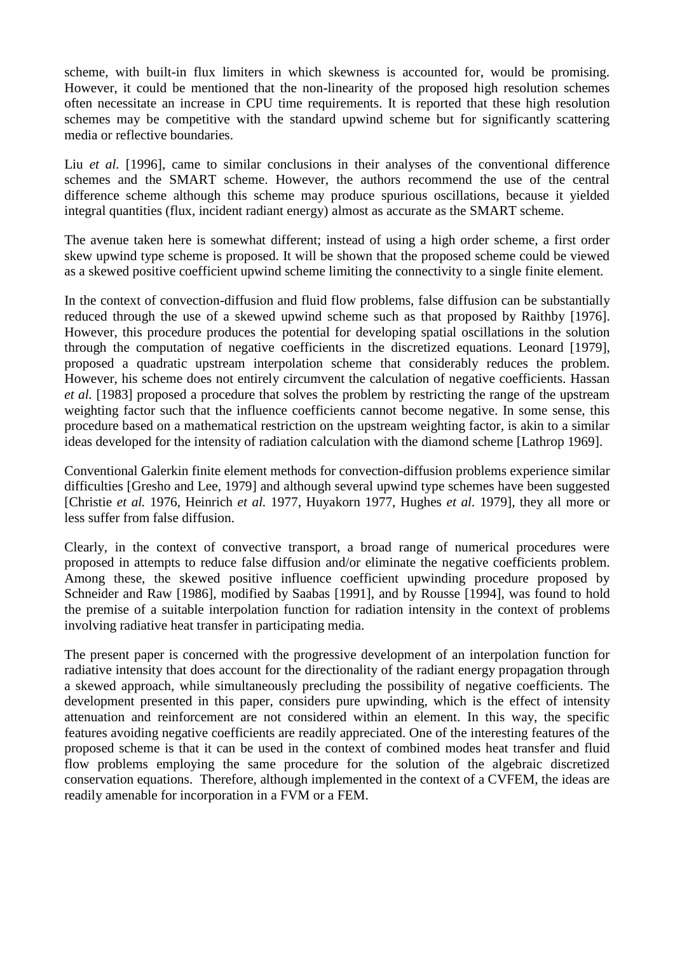scheme, with built-in flux limiters in which skewness is accounted for, would be promising. However, it could be mentioned that the non-linearity of the proposed high resolution schemes often necessitate an increase in CPU time requirements. It is reported that these high resolution schemes may be competitive with the standard upwind scheme but for significantly scattering media or reflective boundaries.

Liu *et al.* [1996], came to similar conclusions in their analyses of the conventional difference schemes and the SMART scheme. However, the authors recommend the use of the central difference scheme although this scheme may produce spurious oscillations, because it yielded integral quantities (flux, incident radiant energy) almost as accurate as the SMART scheme.

The avenue taken here is somewhat different; instead of using a high order scheme, a first order skew upwind type scheme is proposed. It will be shown that the proposed scheme could be viewed as a skewed positive coefficient upwind scheme limiting the connectivity to a single finite element.

In the context of convection-diffusion and fluid flow problems, false diffusion can be substantially reduced through the use of a skewed upwind scheme such as that proposed by Raithby [1976]. However, this procedure produces the potential for developing spatial oscillations in the solution through the computation of negative coefficients in the discretized equations. Leonard [1979], proposed a quadratic upstream interpolation scheme that considerably reduces the problem. However, his scheme does not entirely circumvent the calculation of negative coefficients. Hassan *et al.* [1983] proposed a procedure that solves the problem by restricting the range of the upstream weighting factor such that the influence coefficients cannot become negative. In some sense, this procedure based on a mathematical restriction on the upstream weighting factor, is akin to a similar ideas developed for the intensity of radiation calculation with the diamond scheme [Lathrop 1969].

Conventional Galerkin finite element methods for convection-diffusion problems experience similar difficulties [Gresho and Lee, 1979] and although several upwind type schemes have been suggested [Christie *et al.* 1976, Heinrich *et al.* 1977, Huyakorn 1977, Hughes *et al.* 1979], they all more or less suffer from false diffusion.

Clearly, in the context of convective transport, a broad range of numerical procedures were proposed in attempts to reduce false diffusion and/or eliminate the negative coefficients problem. Among these, the skewed positive influence coefficient upwinding procedure proposed by Schneider and Raw [1986], modified by Saabas [1991], and by Rousse [1994], was found to hold the premise of a suitable interpolation function for radiation intensity in the context of problems involving radiative heat transfer in participating media.

The present paper is concerned with the progressive development of an interpolation function for radiative intensity that does account for the directionality of the radiant energy propagation through a skewed approach, while simultaneously precluding the possibility of negative coefficients. The development presented in this paper, considers pure upwinding, which is the effect of intensity attenuation and reinforcement are not considered within an element. In this way, the specific features avoiding negative coefficients are readily appreciated. One of the interesting features of the proposed scheme is that it can be used in the context of combined modes heat transfer and fluid flow problems employing the same procedure for the solution of the algebraic discretized conservation equations. Therefore, although implemented in the context of a CVFEM, the ideas are readily amenable for incorporation in a FVM or a FEM.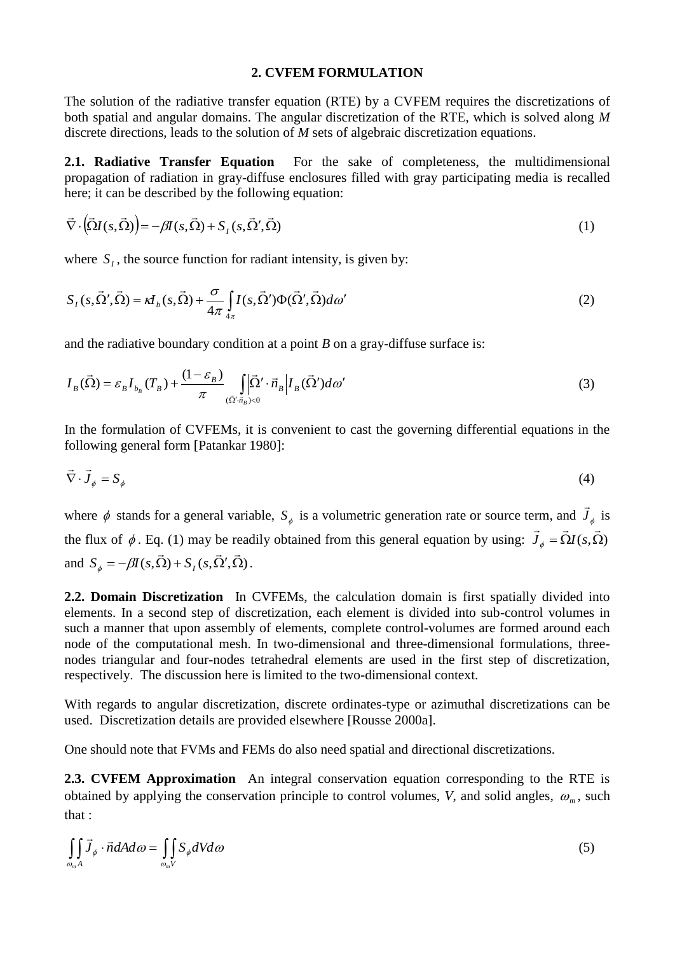#### **2. CVFEM FORMULATION**

The solution of the radiative transfer equation (RTE) by a CVFEM requires the discretizations of both spatial and angular domains. The angular discretization of the RTE, which is solved along *M* discrete directions, leads to the solution of *M* sets of algebraic discretization equations.

**2.1. Radiative Transfer Equation** For the sake of completeness, the multidimensional propagation of radiation in gray-diffuse enclosures filled with gray participating media is recalled here; it can be described by the following equation:

$$
\vec{\nabla} \cdot (\vec{\Omega} I(s, \vec{\Omega})) = -\beta I(s, \vec{\Omega}) + S_I(s, \vec{\Omega}', \vec{\Omega})
$$
\n(1)

where  $S<sub>I</sub>$ , the source function for radiant intensity, is given by:

$$
S_I(s,\vec{\Omega}',\vec{\Omega}) = \kappa I_b(s,\vec{\Omega}) + \frac{\sigma}{4\pi} \int_{4\pi} I(s,\vec{\Omega}') \Phi(\vec{\Omega}',\vec{\Omega}) d\omega'
$$
 (2)

and the radiative boundary condition at a point *B* on a gray-diffuse surface is:

$$
I_B(\vec{\Omega}) = \varepsilon_B I_{b_B}(T_B) + \frac{(1 - \varepsilon_B)}{\pi} \int_{(\vec{\Omega}', \vec{n}_B) < 0} \left| I_B(\vec{\Omega}') d\omega' \right| \tag{3}
$$

In the formulation of CVFEMs, it is convenient to cast the governing differential equations in the following general form [Patankar 1980]:

$$
\vec{\nabla} \cdot \vec{J}_{\phi} = S_{\phi} \tag{4}
$$

where  $\phi$  stands for a general variable,  $S_{\phi}$  is a volumetric generation rate or source term, and  $J_{\phi}$  $\rightarrow$ is the flux of  $\phi$ . Eq. (1) may be readily obtained from this general equation by using:  $J_{\phi} = \Omega I(s, \Omega)$  $\rightarrow$   $\rightarrow$   $\rightarrow$ and  $S_{\phi} = -\beta I(s, \vec{\Omega}) + S_{I}(s, \vec{\Omega}', \vec{\Omega})$  $\rightarrow$   $\rightarrow$   $\rightarrow$ .  $S_{\phi} = -\beta I(s,\Omega) + S_I(s,\Omega',\Omega).$ 

**2.2. Domain Discretization** In CVFEMs, the calculation domain is first spatially divided into elements. In a second step of discretization, each element is divided into sub-control volumes in such a manner that upon assembly of elements, complete control-volumes are formed around each node of the computational mesh. In two-dimensional and three-dimensional formulations, threenodes triangular and four-nodes tetrahedral elements are used in the first step of discretization, respectively. The discussion here is limited to the two-dimensional context.

With regards to angular discretization, discrete ordinates-type or azimuthal discretizations can be used. Discretization details are provided elsewhere [Rousse 2000a].

One should note that FVMs and FEMs do also need spatial and directional discretizations.

**2.3. CVFEM Approximation** An integral conservation equation corresponding to the RTE is obtained by applying the conservation principle to control volumes, *V*, and solid angles,  $\omega_m$ , such that :

$$
\iint_{\omega_m A} \vec{J}_{\phi} \cdot \vec{n} dA d\omega = \iint_{\omega_m V} S_{\phi} dV d\omega \tag{5}
$$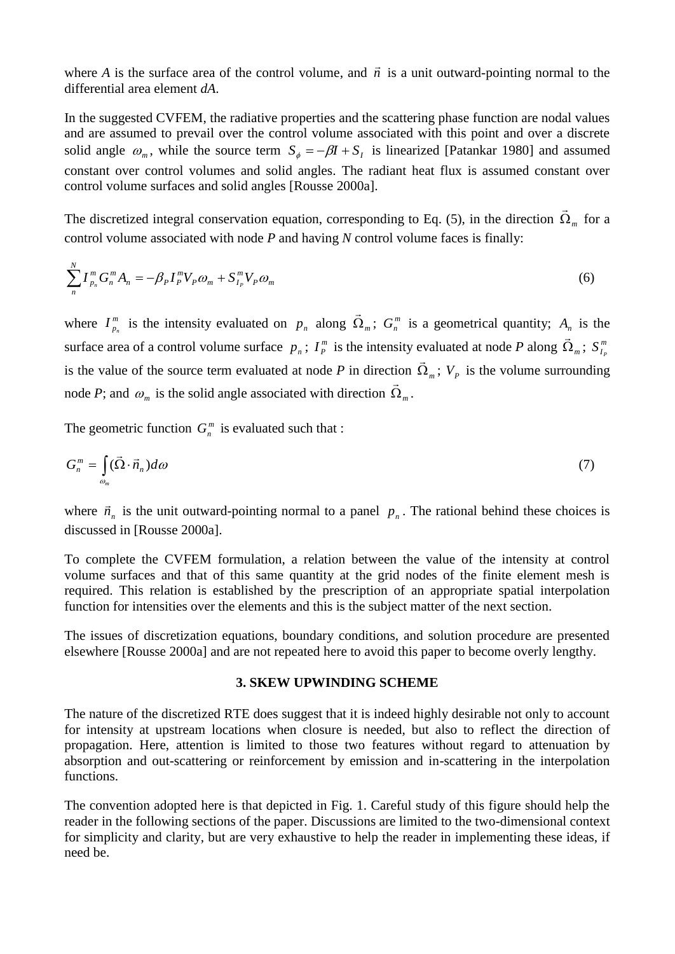where *A* is the surface area of the control volume, and  $\vec{n}$  is a unit outward-pointing normal to the differential area element *dA*.

In the suggested CVFEM, the radiative properties and the scattering phase function are nodal values and are assumed to prevail over the control volume associated with this point and over a discrete solid angle  $\omega_m$ , while the source term  $S_\phi = -\beta I + S_I$  is linearized [Patankar 1980] and assumed constant over control volumes and solid angles. The radiant heat flux is assumed constant over control volume surfaces and solid angles [Rousse 2000a].

The discretized integral conservation equation, corresponding to Eq. (5), in the direction  $\Omega_m$  $\rightarrow$ for a control volume associated with node *P* and having *N* control volume faces is finally:

$$
\sum_{n}^{N} I_{p_n}^m G_n^m A_n = -\beta_P I_P^m V_P \omega_m + S_{I_P}^m V_P \omega_m
$$
\n(6)

where  $I_n^m$  $I_{p_n}^m$  is the intensity evaluated on  $p_n$  along  $\Omega_m$  $\rightarrow$ ;  $G_n^m$  is a geometrical quantity;  $A_n$  is the surface area of a control volume surface  $p_n$ ;  $I_p^m$  $I_P^m$  is the intensity evaluated at node *P* along  $\Omega_m$  $\frac{1}{x}$ ;  $S_L^m$  $S_{I_p}^m$ is the value of the source term evaluated at node *P* in direction  $\Omega_m$ ;  $V_p$  is the volume surrounding  $\rightarrow$ node *P*; and  $\omega_m$  is the solid angle associated with direction  $\Omega_m$  $\overline{\phantom{a}}$ .

The geometric function  $G_n^m$  is evaluated such that :

$$
G_n^m = \int_{\omega_m} (\vec{\Omega} \cdot \vec{n}_n) d\omega \tag{7}
$$

where  $\vec{n}_n$  is the unit outward-pointing normal to a panel  $p_n$ . The rational behind these choices is discussed in [Rousse 2000a].

To complete the CVFEM formulation, a relation between the value of the intensity at control volume surfaces and that of this same quantity at the grid nodes of the finite element mesh is required. This relation is established by the prescription of an appropriate spatial interpolation function for intensities over the elements and this is the subject matter of the next section.

The issues of discretization equations, boundary conditions, and solution procedure are presented elsewhere [Rousse 2000a] and are not repeated here to avoid this paper to become overly lengthy.

## **3. SKEW UPWINDING SCHEME**

The nature of the discretized RTE does suggest that it is indeed highly desirable not only to account for intensity at upstream locations when closure is needed, but also to reflect the direction of propagation. Here, attention is limited to those two features without regard to attenuation by absorption and out-scattering or reinforcement by emission and in-scattering in the interpolation functions.

The convention adopted here is that depicted in Fig. 1. Careful study of this figure should help the reader in the following sections of the paper. Discussions are limited to the two-dimensional context for simplicity and clarity, but are very exhaustive to help the reader in implementing these ideas, if need be.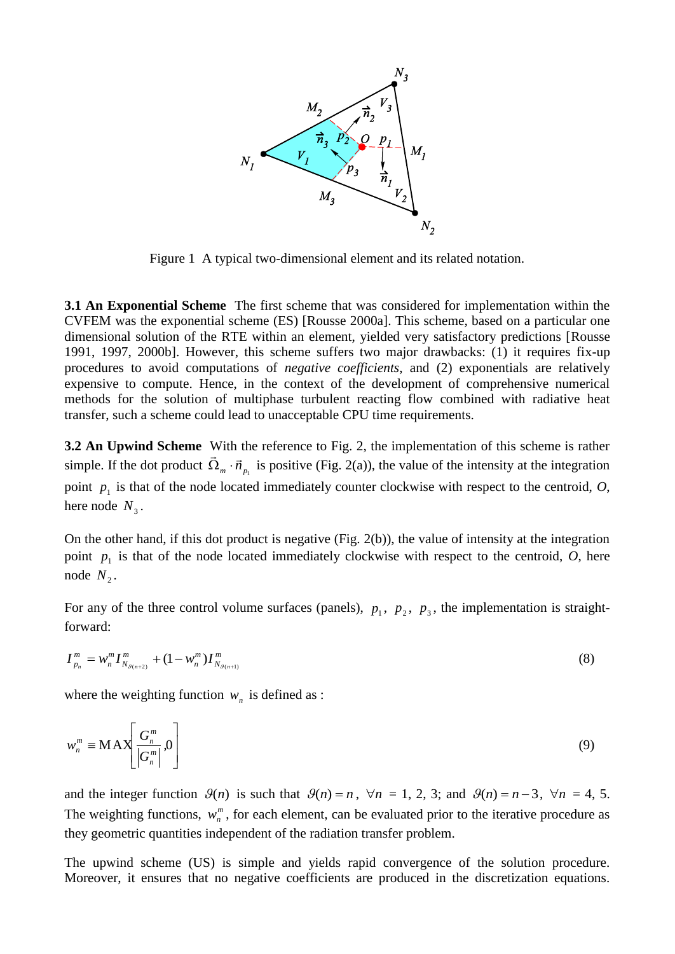

Figure 1 A typical two-dimensional element and its related notation.

**3.1 An Exponential Scheme** The first scheme that was considered for implementation within the CVFEM was the exponential scheme (ES) [Rousse 2000a]. This scheme, based on a particular one dimensional solution of the RTE within an element, yielded very satisfactory predictions [Rousse 1991, 1997, 2000b]. However, this scheme suffers two major drawbacks: (1) it requires fix-up procedures to avoid computations of *negative coefficients*, and (2) exponentials are relatively expensive to compute. Hence, in the context of the development of comprehensive numerical methods for the solution of multiphase turbulent reacting flow combined with radiative heat transfer, such a scheme could lead to unacceptable CPU time requirements.

**3.2** An Upwind Scheme With the reference to Fig. 2, the implementation of this scheme is rather simple. If the dot product  $\vec{\Omega}_m \cdot \vec{n}_{p_1}$  is positive (Fig. 2(a)), the value of the intensity at the integration point  $p_1$  is that of the node located immediately counter clockwise with respect to the centroid,  $O$ , here node  $N_3$ .

On the other hand, if this dot product is negative (Fig. 2(b)), the value of intensity at the integration point  $p_1$  is that of the node located immediately clockwise with respect to the centroid,  $O$ , here node  $N_2$ .

For any of the three control volume surfaces (panels),  $p_1$ ,  $p_2$ ,  $p_3$ , the implementation is straightforward:

$$
I_{p_n}^m = w_n^m I_{N_{\mathcal{S}(n+2)}}^m + (1 - w_n^m) I_{N_{\mathcal{S}(n+1)}}^m \tag{8}
$$

where the weighting function  $w_n$  is defined as :

$$
w_n^m \equiv \text{MAX} \left[ \frac{G_n^m}{|G_n^m|}, 0 \right] \tag{9}
$$

and the integer function  $\mathcal{G}(n)$  is such that  $\mathcal{G}(n) = n$ ,  $\forall n = 1, 2, 3$ ; and  $\mathcal{G}(n) = n - 3$ ,  $\forall n = 4, 5$ . The weighting functions,  $w_n^m$ , for each element, can be evaluated prior to the iterative procedure as they geometric quantities independent of the radiation transfer problem.

The upwind scheme (US) is simple and yields rapid convergence of the solution procedure. Moreover, it ensures that no negative coefficients are produced in the discretization equations.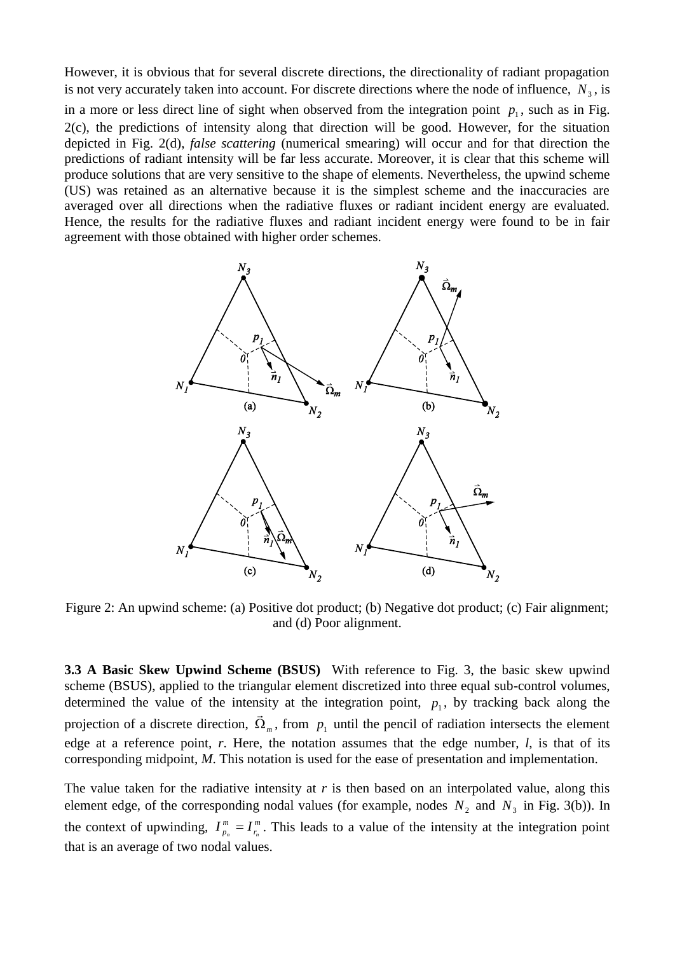However, it is obvious that for several discrete directions, the directionality of radiant propagation is not very accurately taken into account. For discrete directions where the node of influence,  $N_3$ , is in a more or less direct line of sight when observed from the integration point  $p_1$ , such as in Fig. 2(c), the predictions of intensity along that direction will be good. However, for the situation depicted in Fig. 2(d), *false scattering* (numerical smearing) will occur and for that direction the predictions of radiant intensity will be far less accurate. Moreover, it is clear that this scheme will produce solutions that are very sensitive to the shape of elements. Nevertheless, the upwind scheme (US) was retained as an alternative because it is the simplest scheme and the inaccuracies are averaged over all directions when the radiative fluxes or radiant incident energy are evaluated. Hence, the results for the radiative fluxes and radiant incident energy were found to be in fair agreement with those obtained with higher order schemes.



Figure 2: An upwind scheme: (a) Positive dot product; (b) Negative dot product; (c) Fair alignment; and (d) Poor alignment.

**3.3 A Basic Skew Upwind Scheme (BSUS)** With reference to Fig. 3, the basic skew upwind scheme (BSUS), applied to the triangular element discretized into three equal sub-control volumes, determined the value of the intensity at the integration point,  $p_1$ , by tracking back along the projection of a discrete direction,  $\Omega_m$  $\ddot{\ }$ , from  $p_1$  until the pencil of radiation intersects the element edge at a reference point, *r*. Here, the notation assumes that the edge number, *l*, is that of its corresponding midpoint, *M*. This notation is used for the ease of presentation and implementation.

The value taken for the radiative intensity at *r* is then based on an interpolated value, along this element edge, of the corresponding nodal values (for example, nodes  $N_2$  and  $N_3$  in Fig. 3(b)). In the context of upwinding,  $I_n^m = I_r^m$ *r m*  $I_{p_n}^m = I_{r_n}^m$ . This leads to a value of the intensity at the integration point that is an average of two nodal values.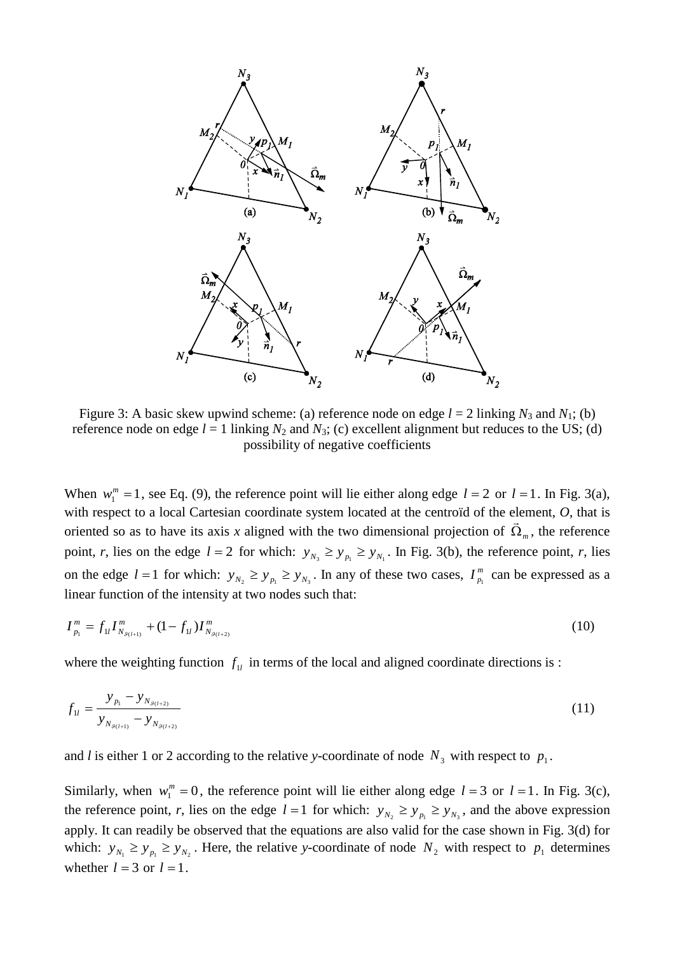

Figure 3: A basic skew upwind scheme: (a) reference node on edge  $l = 2$  linking  $N_3$  and  $N_1$ ; (b) reference node on edge  $l = 1$  linking  $N_2$  and  $N_3$ ; (c) excellent alignment but reduces to the US; (d) possibility of negative coefficients

When  $w_1^m = 1$ , see Eq. (9), the reference point will lie either along edge  $l = 2$  or  $l = 1$ . In Fig. 3(a), with respect to a local Cartesian coordinate system located at the centroïd of the element, *O*, that is oriented so as to have its axis *x* aligned with the two dimensional projection of  $\Omega_m$ , the reference point, *r*, lies on the edge  $l = 2$  for which:  $y_{N_3} \ge y_{N_1} \ge y_{N_1}$ . In Fig. 3(b), the reference point, *r*, lies on the edge  $l = 1$  for which:  $y_{N_2} \ge y_{p_1} \ge y_{N_3}$ . In any of these two cases,  $I_{p_1}^m$  $I_{p_1}^m$  can be expressed as a linear function of the intensity at two nodes such that:

$$
I_{p_1}^m = f_{1l} I_{N_{g_{(l+1)}}}^m + (1 - f_{1l}) I_{N_{g_{(l+2)}}}^m \tag{10}
$$

where the weighting function  $f_{\mu}$  in terms of the local and aligned coordinate directions is :

$$
f_{1l} = \frac{y_{p_1} - y_{N_{g_{(l+2)}}}}{y_{N_{g_{(l+1)}}} - y_{N_{g_{(l+2)}}}}
$$
(11)

and *l* is either 1 or 2 according to the relative *y*-coordinate of node  $N_3$  with respect to  $p_1$ .

Similarly, when  $w_1^m = 0$ , the reference point will lie either along edge  $l = 3$  or  $l = 1$ . In Fig. 3(c), the reference point, *r*, lies on the edge  $l = 1$  for which:  $y_{N_2} \ge y_{N_1} \ge y_{N_3}$ , and the above expression apply. It can readily be observed that the equations are also valid for the case shown in Fig. 3(d) for which:  $y_{N_1} \ge y_{N_2}$ . Here, the relative *y*-coordinate of node  $N_2$  with respect to  $p_1$  determines whether  $l = 3$  or  $l = 1$ .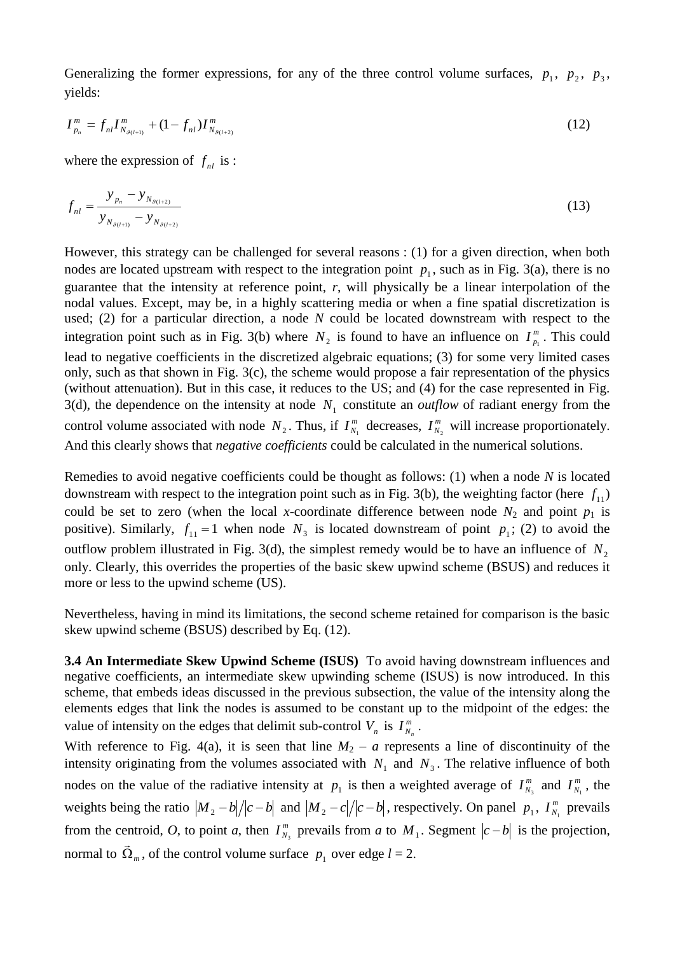Generalizing the former expressions, for any of the three control volume surfaces,  $p_1$ ,  $p_2$ ,  $p_3$ , yields:

$$
I_{p_n}^m = f_{nl} I_{N_{g_{(l+1)}}}^m + (1 - f_{nl}) I_{N_{g_{(l+2)}}}^m \tag{12}
$$

where the expression of  $f_{nl}$  is :

$$
f_{nl} = \frac{y_{p_n} - y_{N_{\mathcal{G}(l+2)}}}{y_{N_{\mathcal{G}(l+1)}} - y_{N_{\mathcal{G}(l+2)}}}
$$
(13)

However, this strategy can be challenged for several reasons : (1) for a given direction, when both nodes are located upstream with respect to the integration point  $p_1$ , such as in Fig. 3(a), there is no guarantee that the intensity at reference point, *r*, will physically be a linear interpolation of the nodal values. Except, may be, in a highly scattering media or when a fine spatial discretization is used; (2) for a particular direction, a node *N* could be located downstream with respect to the integration point such as in Fig. 3(b) where  $N_2$  is found to have an influence on  $I_{p_1}^m$  $I_{p_1}^m$ . This could lead to negative coefficients in the discretized algebraic equations; (3) for some very limited cases only, such as that shown in Fig. 3(c), the scheme would propose a fair representation of the physics (without attenuation). But in this case, it reduces to the US; and (4) for the case represented in Fig. 3(d), the dependence on the intensity at node  $N_1$  constitute an *outflow* of radiant energy from the control volume associated with node  $N_2$ . Thus, if  $I_N^m$  $I_{N_1}^m$  decreases,  $I_N^m$  $I_{N_2}^m$  will increase proportionately. And this clearly shows that *negative coefficients* could be calculated in the numerical solutions.

Remedies to avoid negative coefficients could be thought as follows: (1) when a node *N* is located downstream with respect to the integration point such as in Fig. 3(b), the weighting factor (here  $f_{11}$ ) could be set to zero (when the local *x*-coordinate difference between node  $N_2$  and point  $p_1$  is positive). Similarly,  $f_{11} = 1$  when node  $N_3$  is located downstream of point  $p_1$ ; (2) to avoid the outflow problem illustrated in Fig. 3(d), the simplest remedy would be to have an influence of  $N_2$ only. Clearly, this overrides the properties of the basic skew upwind scheme (BSUS) and reduces it more or less to the upwind scheme (US).

Nevertheless, having in mind its limitations, the second scheme retained for comparison is the basic skew upwind scheme (BSUS) described by Eq. (12).

**3.4 An Intermediate Skew Upwind Scheme (ISUS)** To avoid having downstream influences and negative coefficients, an intermediate skew upwinding scheme (ISUS) is now introduced. In this scheme, that embeds ideas discussed in the previous subsection, the value of the intensity along the elements edges that link the nodes is assumed to be constant up to the midpoint of the edges: the value of intensity on the edges that delimit sub-control  $V_n$  is  $I_m^m$  $I^m_{N_n}$  .

With reference to Fig. 4(a), it is seen that line  $M_2 - a$  represents a line of discontinuity of the intensity originating from the volumes associated with  $N_1$  and  $N_3$ . The relative influence of both nodes on the value of the radiative intensity at  $p_1$  is then a weighted average of  $I_N^m$  $I_{N_3}^m$  and  $I_{N_3}^m$  $I_{N_1}^m$ , the weights being the ratio  $|M_2 - b|/|c - b|$  and  $|M_2 - c|/|c - b|$ , respectively. On panel  $p_1$ ,  $I_N^m$  $I_{N_1}^m$  prevails from the centroid, *O*, to point *a*, then  $I_N^m$  $I_{N_3}^m$  prevails from *a* to  $M_1$ . Segment  $|c-b|$  is the projection, normal to  $\Omega_m$  $\rightarrow$ , of the control volume surface  $p_1$  over edge  $l = 2$ .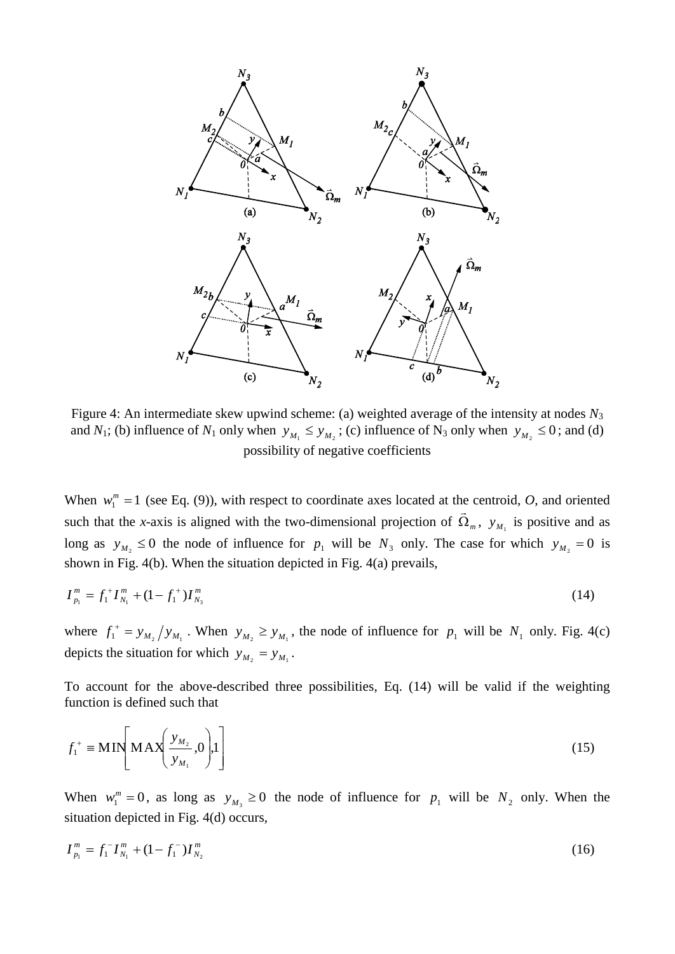

Figure 4: An intermediate skew upwind scheme: (a) weighted average of the intensity at nodes *N*<sup>3</sup> and *N*<sub>1</sub>; (b) influence of *N*<sub>1</sub> only when  $y_{M_1} \leq y_{M_2}$ ; (c) influence of N<sub>3</sub> only when  $y_{M_2} \leq 0$ ; and (d) possibility of negative coefficients

When  $w_1^m = 1$  (see Eq. (9)), with respect to coordinate axes located at the centroid, *O*, and oriented such that the *x*-axis is aligned with the two-dimensional projection of  $\Omega_m$  $\ddot{\phantom{a}}$ ,  $y_{M_1}$  is positive and as long as  $y_{M_2} \le 0$  the node of influence for  $p_1$  will be  $N_3$  only. The case for which  $y_{M_2} = 0$  is shown in Fig. 4(b). When the situation depicted in Fig. 4(a) prevails,

$$
I_{p_1}^m = f_1^+ I_{N_1}^m + (1 - f_1^+) I_{N_3}^m \tag{14}
$$

where  $f_1^+ = y_{M_2}/y_{M_1}$ . When  $y_{M_2} \ge y_{M_1}$ , the node of influence for  $p_1$  will be  $N_1$  only. Fig. 4(c) depicts the situation for which  $y_{M_2} = y_{M_1}$ .

To account for the above-described three possibilities, Eq. (14) will be valid if the weighting function is defined such that

$$
f_1^+ \equiv \text{MIN}\left[\text{MAX}\left(\frac{y_{M_2}}{y_{M_1}}, 0\right), 1\right] \tag{15}
$$

When  $w_1^m = 0$ , as long as  $y_{M_3} \ge 0$  the node of influence for  $p_1$  will be  $N_2$  only. When the situation depicted in Fig. 4(d) occurs,

$$
I_{p_1}^m = f_1^- I_{N_1}^m + (1 - f_1^-) I_{N_2}^m \tag{16}
$$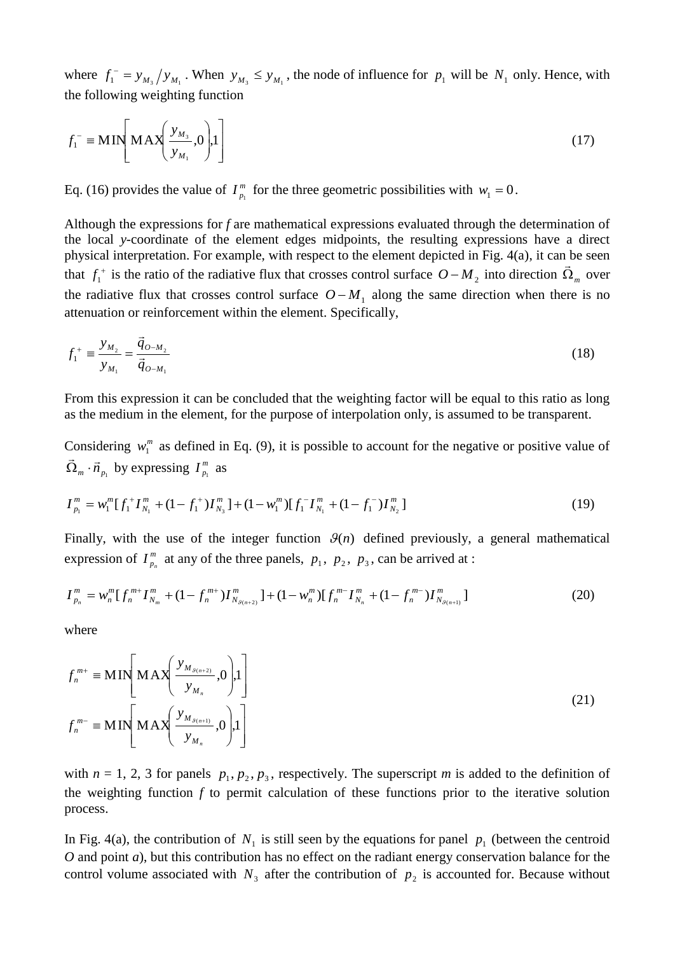where  $f_1^{\prime} = y_{M_3}/y_{M_1}$ . When  $y_{M_3} \leq y_{M_1}$ , the node of influence for  $p_1$  will be  $N_1$  only. Hence, with the following weighting function

$$
f_1^- \equiv \text{MIN}\left[\text{MAX}\left(\frac{y_{M_3}}{y_{M_1}}, 0\right), 1\right] \tag{17}
$$

Eq. (16) provides the value of  $I_m^m$  $I_{p_1}^m$  for the three geometric possibilities with  $w_1 = 0$ .

Although the expressions for *f* are mathematical expressions evaluated through the determination of the local *y*-coordinate of the element edges midpoints, the resulting expressions have a direct physical interpretation. For example, with respect to the element depicted in Fig.  $4(a)$ , it can be seen that  $f_1^+$  $f_1^+$  is the ratio of the radiative flux that crosses control surface  $O-M_2$  into direction  $\Omega_m$  over the radiative flux that crosses control surface  $O - M_1$  along the same direction when there is no attenuation or reinforcement within the element. Specifically,

$$
f_1^+ = \frac{y_{M_2}}{y_{M_1}} = \frac{\vec{q}_{O-M_2}}{\vec{q}_{O-M_1}}
$$
 (18)

From this expression it can be concluded that the weighting factor will be equal to this ratio as long as the medium in the element, for the purpose of interpolation only, is assumed to be transparent.

Considering  $w_1^m$  as defined in Eq. (9), it is possible to account for the negative or positive value of  $\vec{\Omega}_m \cdot \vec{n}_{p_1}$  by expressing  $I_{p_1}^m$ ر<br>پ  $I_{p_1}^m$  as

$$
I_{p_1}^m = w_1^m [f_1^+ I_{N_1}^m + (1 - f_1^+) I_{N_3}^m] + (1 - w_1^m) [f_1^- I_{N_1}^m + (1 - f_1^-) I_{N_2}^m]
$$
\n(19)

Finally, with the use of the integer function  $\mathcal{G}(n)$  defined previously, a general mathematical expression of  $I_n^m$  $I_{p_n}^m$  at any of the three panels,  $p_1$ ,  $p_2$ ,  $p_3$ , can be arrived at :

$$
I_{p_n}^m = w_n^m [f_n^{m+} I_{N_m}^m + (1 - f_n^{m+}) I_{N_{\mathcal{S}(n+2)}}^m] + (1 - w_n^m) [f_n^{m-} I_{N_n}^m + (1 - f_n^{m-}) I_{N_{\mathcal{S}(n+1)}}^m]
$$
(20)

where

$$
f_n^{m+} \equiv \text{MIN}\left[\text{MAX}\left(\frac{y_{M_{\mathcal{S}(n+2)}}}{y_{M_n}}, 0\right), 1\right]
$$
  

$$
f_n^{m-} \equiv \text{MIN}\left[\text{MAX}\left(\frac{y_{M_{\mathcal{S}(n+1)}}}{y_{M_n}}, 0\right), 1\right]
$$
  
(21)

with  $n = 1, 2, 3$  for panels  $p_1, p_2, p_3$ , respectively. The superscript *m* is added to the definition of the weighting function *f* to permit calculation of these functions prior to the iterative solution process.

In Fig. 4(a), the contribution of  $N_1$  is still seen by the equations for panel  $p_1$  (between the centroid *O* and point *a*), but this contribution has no effect on the radiant energy conservation balance for the control volume associated with  $N_3$  after the contribution of  $p_2$  is accounted for. Because without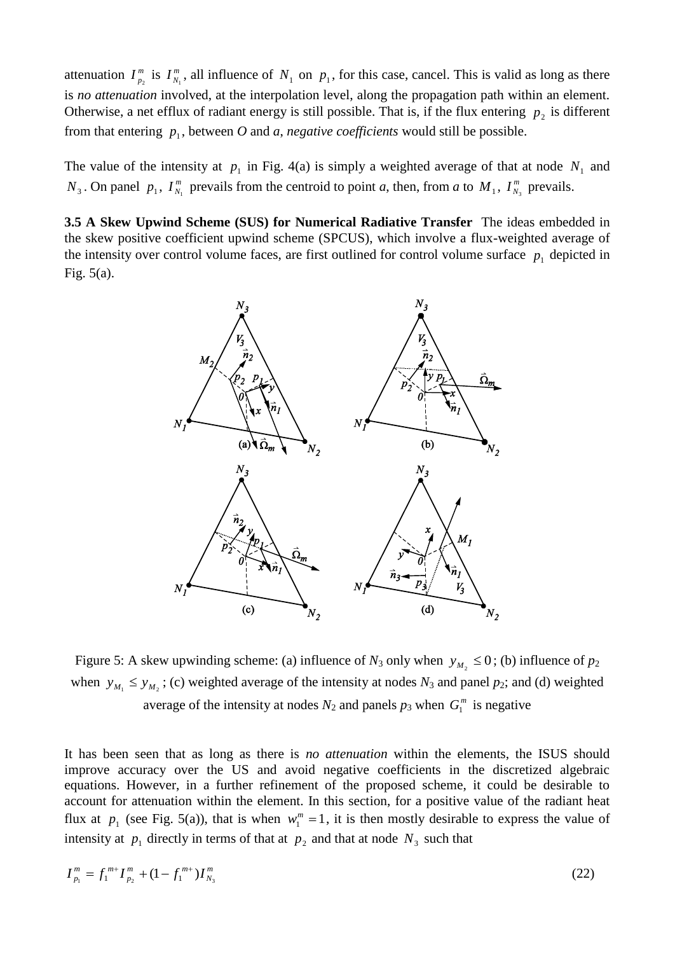attenuation  $I_m^m$  $I_{p_2}^m$  is  $I_{N_1}^m$  $I_{N_1}^m$ , all influence of  $N_1$  on  $p_1$ , for this case, cancel. This is valid as long as there is *no attenuation* involved, at the interpolation level, along the propagation path within an element. Otherwise, a net efflux of radiant energy is still possible. That is, if the flux entering  $p_2$  is different from that entering  $p_1$ , between O and a, *negative coefficients* would still be possible.

The value of the intensity at  $p_1$  in Fig. 4(a) is simply a weighted average of that at node  $N_1$  and  $N_3$ . On panel  $p_1$ ,  $I_{N_1}^m$  $I_{N_1}^m$  prevails from the centroid to point *a*, then, from *a* to  $M_1$ ,  $I_{N_1}^m$  $I_{N_3}^m$  prevails.

**3.5 A Skew Upwind Scheme (SUS) for Numerical Radiative Transfer** The ideas embedded in the skew positive coefficient upwind scheme (SPCUS), which involve a flux-weighted average of the intensity over control volume faces, are first outlined for control volume surface  $p_1$  depicted in Fig. 5(a).



Figure 5: A skew upwinding scheme: (a) influence of  $N_3$  only when  $y_{M_2} \le 0$ ; (b) influence of  $p_2$ when  $y_{M_1} \leq y_{M_2}$ ; (c) weighted average of the intensity at nodes  $N_3$  and panel  $p_2$ ; and (d) weighted average of the intensity at nodes  $N_2$  and panels  $p_3$  when  $G_1^m$  is negative

It has been seen that as long as there is *no attenuation* within the elements, the ISUS should improve accuracy over the US and avoid negative coefficients in the discretized algebraic equations. However, in a further refinement of the proposed scheme, it could be desirable to account for attenuation within the element. In this section, for a positive value of the radiant heat flux at  $p_1$  (see Fig. 5(a)), that is when  $w_1^m = 1$ , it is then mostly desirable to express the value of intensity at  $p_1$  directly in terms of that at  $p_2$  and that at node  $N_3$  such that

$$
I_{p_1}^m = f_1^{m+} I_{p_2}^m + (1 - f_1^{m+}) I_{N_3}^m \tag{22}
$$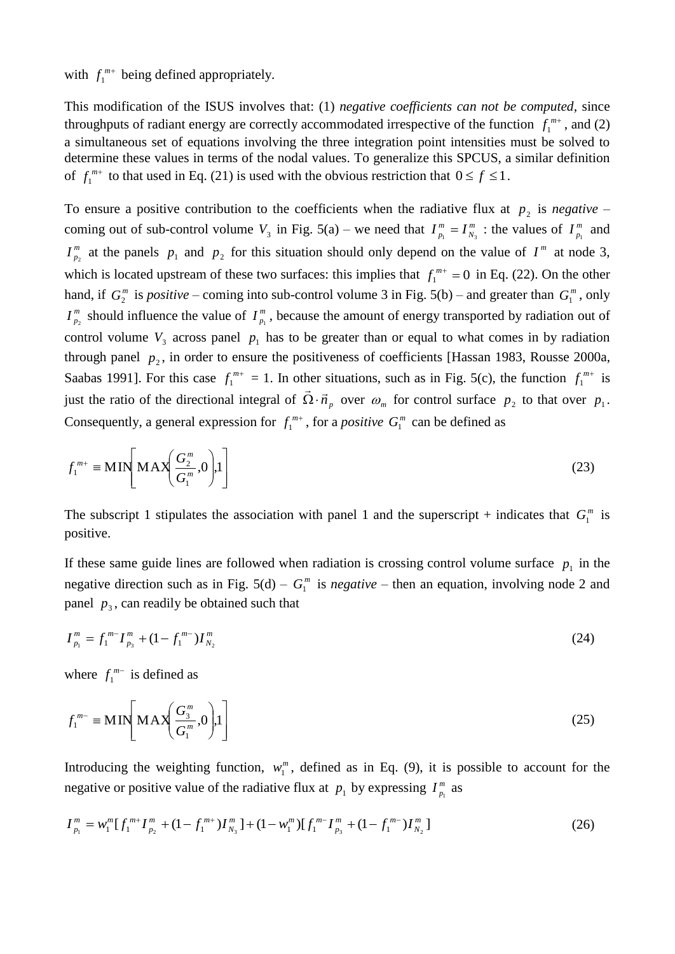with  $f_1^{m+}$  being defined appropriately.

This modification of the ISUS involves that: (1) *negative coefficients can not be computed*, since throughputs of radiant energy are correctly accommodated irrespective of the function  $f_1^{m+}$ , and (2) a simultaneous set of equations involving the three integration point intensities must be solved to determine these values in terms of the nodal values. To generalize this SPCUS, a similar definition of  $f_1^{m+}$  to that used in Eq. (21) is used with the obvious restriction that  $0 \le f \le 1$ .

To ensure a positive contribution to the coefficients when the radiative flux at  $p_2$  is *negative* – coming out of sub-control volume  $V_3$  in Fig. 5(a) – we need that  $I_{p_1}^m = I_{N_1}^m$ *N m*  $I_{p_1}^m = I_{N_3}^m$  : the values of  $I_{p_1}^m$  $I_{p_1}^m$  and *m*  $I_{p_2}^m$  at the panels  $p_1$  and  $p_2$  for this situation should only depend on the value of  $I^m$  at node 3, which is located upstream of these two surfaces: this implies that  $f_1^{m+} = 0$  in Eq. (22). On the other hand, if  $G_2^m$  is *positive* – coming into sub-control volume 3 in Fig. 5(b) – and greater than  $G_1^m$ , only *m*  $I_{p_2}^m$  should influence the value of  $I_{p_1}^m$  $I_{p_1}^m$ , because the amount of energy transported by radiation out of control volume  $V_3$  across panel  $p_1$  has to be greater than or equal to what comes in by radiation through panel  $p_2$ , in order to ensure the positiveness of coefficients [Hassan 1983, Rousse 2000a, Saabas 1991]. For this case  $f_1^{m+} = 1$ . In other situations, such as in Fig. 5(c), the function  $f_1^{m+}$  is just the ratio of the directional integral of  $\vec{\Omega} \cdot \vec{n}_p$  $\Omega \cdot \vec{n}_p$  over  $\omega_m$  for control surface  $p_2$  to that over  $p_1$ . Consequently, a general expression for  $f_1^{m+}$ , for a *positive*  $G_1^m$  can be defined as

$$
f_1^{m+} \equiv \mathbf{MIN} \left[ \mathbf{MAX} \left( \frac{G_2^m}{G_1^m}, 0 \right), 1 \right] \tag{23}
$$

The subscript 1 stipulates the association with panel 1 and the superscript + indicates that  $G_1^m$  is positive.

If these same guide lines are followed when radiation is crossing control volume surface  $p_1$  in the negative direction such as in Fig.  $5(d) - G_1^m$  is *negative* – then an equation, involving node 2 and panel  $p_3$ , can readily be obtained such that

$$
I_{p_1}^m = f_1^{m-1} I_{p_3}^m + (1 - f_1^{m-1}) I_{N_2}^m \tag{24}
$$

where  $f_1^{m-}$  is defined as

$$
f_1^{m-} \equiv \mathbf{MIN}\left[\mathbf{MAX}\left(\frac{G_3^m}{G_1^m}, 0\right), 1\right]
$$
 (25)

Introducing the weighting function,  $w_1^m$ , defined as in Eq. (9), it is possible to account for the negative or positive value of the radiative flux at  $p_1$  by expressing  $I_{p_1}^m$  $I_{p_1}^m$  as

$$
I_{p_1}^m = w_1^m [f_1^{m+} I_{p_2}^m + (1 - f_1^{m+}) I_{N_3}^m] + (1 - w_1^m) [f_1^{m-} I_{p_3}^m + (1 - f_1^{m-}) I_{N_2}^m]
$$
\n(26)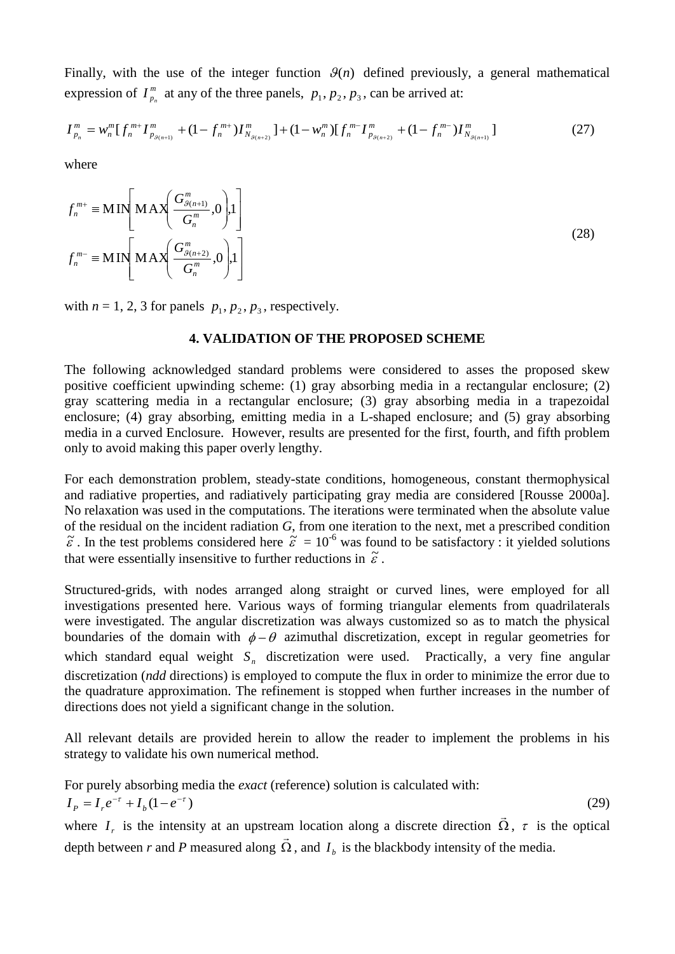Finally, with the use of the integer function  $\mathcal{G}(n)$  defined previously, a general mathematical expression of  $I_n^m$  $I_{p_n}^m$  at any of the three panels,  $p_1, p_2, p_3$ , can be arrived at:

$$
I_{p_n}^m = w_n^m [f_n^{m+1} I_{p_{g(n+1)}}^m + (1 - f_n^{m+1}) I_{N_{g(n+2)}}^m] + (1 - w_n^m) [f_n^{m-1} I_{p_{g(n+2)}}^m + (1 - f_n^{m-1}) I_{N_{g(n+1)}}^m]
$$
(27)

where

$$
f_n^{m+} \equiv \text{MIN}\left[\text{MAX}\left(\frac{G_{\mathcal{G}(n+1)}^m}{G_n^m}, 0\right), 1\right]
$$
  

$$
f_n^{m-} \equiv \text{MIN}\left[\text{MAX}\left(\frac{G_{\mathcal{G}(n+2)}^m}{G_n^m}, 0\right), 1\right]
$$
  
(28)

with  $n = 1, 2, 3$  for panels  $p_1, p_2, p_3$ , respectively.

### **4. VALIDATION OF THE PROPOSED SCHEME**

The following acknowledged standard problems were considered to asses the proposed skew positive coefficient upwinding scheme: (1) gray absorbing media in a rectangular enclosure; (2) gray scattering media in a rectangular enclosure; (3) gray absorbing media in a trapezoidal enclosure; (4) gray absorbing, emitting media in a L-shaped enclosure; and (5) gray absorbing media in a curved Enclosure. However, results are presented for the first, fourth, and fifth problem only to avoid making this paper overly lengthy.

For each demonstration problem, steady-state conditions, homogeneous, constant thermophysical and radiative properties, and radiatively participating gray media are considered [Rousse 2000a]. No relaxation was used in the computations. The iterations were terminated when the absolute value of the residual on the incident radiation *G*, from one iteration to the next, met a prescribed condition  $\tilde{\varepsilon}$ . In the test problems considered here  $\tilde{\varepsilon} = 10^{-6}$  was found to be satisfactory : it yielded solutions that were essentially insensitive to further reductions in  $\tilde{\varepsilon}$ .

Structured-grids, with nodes arranged along straight or curved lines, were employed for all investigations presented here. Various ways of forming triangular elements from quadrilaterals were investigated. The angular discretization was always customized so as to match the physical boundaries of the domain with  $\phi - \theta$  azimuthal discretization, except in regular geometries for which standard equal weight  $S<sub>n</sub>$  discretization were used. Practically, a very fine angular discretization (*ndd* directions) is employed to compute the flux in order to minimize the error due to the quadrature approximation. The refinement is stopped when further increases in the number of directions does not yield a significant change in the solution.

All relevant details are provided herein to allow the reader to implement the problems in his strategy to validate his own numerical method.

For purely absorbing media the *exact* (reference) solution is calculated with:

$$
I_p = I_r e^{-\tau} + I_b (1 - e^{-\tau})
$$
\n(29)

where  $I<sub>r</sub>$  is the intensity at an upstream location along a discrete direction  $\Omega$ ,  $\tau$  is the optical depth between *r* and *P* measured along  $\Omega$ , and  $I<sub>b</sub>$  is the blackbody intensity of the media.  $\ddot{\ }$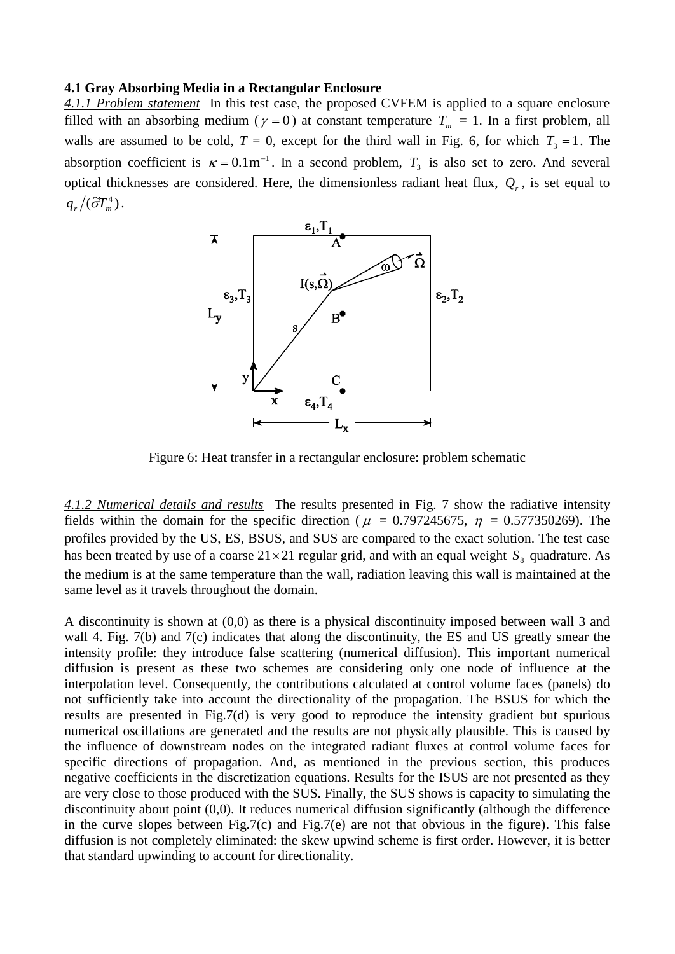### **4.1 Gray Absorbing Media in a Rectangular Enclosure**

*4.1.1 Problem statement* In this test case, the proposed CVFEM is applied to a square enclosure filled with an absorbing medium ( $\gamma = 0$ ) at constant temperature  $T_m = 1$ . In a first problem, all walls are assumed to be cold,  $T = 0$ , except for the third wall in Fig. 6, for which  $T_3 = 1$ . The absorption coefficient is  $\kappa = 0.1 \text{m}^{-1}$ . In a second problem,  $T_3$  is also set to zero. And several optical thicknesses are considered. Here, the dimensionless radiant heat flux,  $Q_r$ , is set equal to  $q_r / (\tilde{\sigma} T_m^4)$ .



Figure 6: Heat transfer in a rectangular enclosure: problem schematic

*4.1.2 Numerical details and results* The results presented in Fig. 7 show the radiative intensity fields within the domain for the specific direction ( $\mu$  = 0.797245675,  $\eta$  = 0.577350269). The profiles provided by the US, ES, BSUS, and SUS are compared to the exact solution. The test case has been treated by use of a coarse  $21 \times 21$  regular grid, and with an equal weight  $S_8$  quadrature. As the medium is at the same temperature than the wall, radiation leaving this wall is maintained at the same level as it travels throughout the domain.

A discontinuity is shown at (0,0) as there is a physical discontinuity imposed between wall 3 and wall 4. Fig. 7(b) and 7(c) indicates that along the discontinuity, the ES and US greatly smear the intensity profile: they introduce false scattering (numerical diffusion). This important numerical diffusion is present as these two schemes are considering only one node of influence at the interpolation level. Consequently, the contributions calculated at control volume faces (panels) do not sufficiently take into account the directionality of the propagation. The BSUS for which the results are presented in Fig.7(d) is very good to reproduce the intensity gradient but spurious numerical oscillations are generated and the results are not physically plausible. This is caused by the influence of downstream nodes on the integrated radiant fluxes at control volume faces for specific directions of propagation. And, as mentioned in the previous section, this produces negative coefficients in the discretization equations. Results for the ISUS are not presented as they are very close to those produced with the SUS. Finally, the SUS shows is capacity to simulating the discontinuity about point (0,0). It reduces numerical diffusion significantly (although the difference in the curve slopes between Fig.7(c) and Fig.7(e) are not that obvious in the figure). This false diffusion is not completely eliminated: the skew upwind scheme is first order. However, it is better that standard upwinding to account for directionality.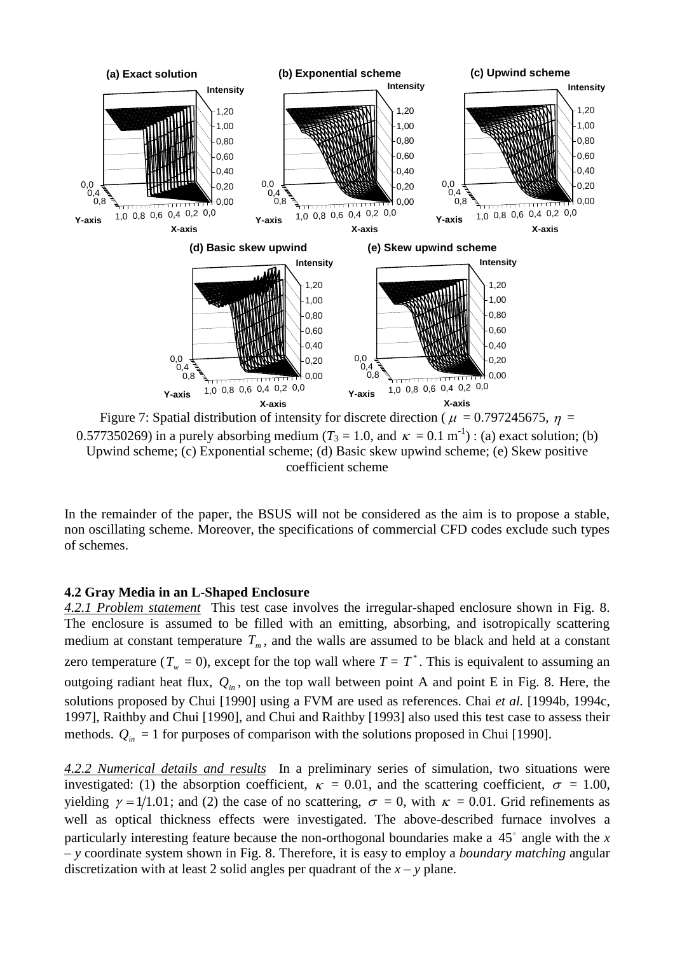

0.577350269) in a purely absorbing medium ( $T_3 = 1.0$ , and  $\kappa = 0.1 \text{ m}^{-1}$ ) : (a) exact solution; (b) Upwind scheme; (c) Exponential scheme; (d) Basic skew upwind scheme; (e) Skew positive coefficient scheme

In the remainder of the paper, the BSUS will not be considered as the aim is to propose a stable, non oscillating scheme. Moreover, the specifications of commercial CFD codes exclude such types of schemes.

# **4.2 Gray Media in an L-Shaped Enclosure**

*4.2.1 Problem statement* This test case involves the irregular-shaped enclosure shown in Fig. 8. The enclosure is assumed to be filled with an emitting, absorbing, and isotropically scattering medium at constant temperature  $T_m$ , and the walls are assumed to be black and held at a constant zero temperature ( $T_w = 0$ ), except for the top wall where  $T = T^*$ . This is equivalent to assuming an outgoing radiant heat flux,  $Q_{in}$ , on the top wall between point A and point E in Fig. 8. Here, the solutions proposed by Chui [1990] using a FVM are used as references. Chai *et al.* [1994b, 1994c, 1997], Raithby and Chui [1990], and Chui and Raithby [1993] also used this test case to assess their methods.  $Q_{in} = 1$  for purposes of comparison with the solutions proposed in Chui [1990].

*4.2.2 Numerical details and results* In a preliminary series of simulation, two situations were investigated: (1) the absorption coefficient,  $\kappa = 0.01$ , and the scattering coefficient,  $\sigma = 1.00$ , yielding  $\gamma = 1/1.01$ ; and (2) the case of no scattering,  $\sigma = 0$ , with  $\kappa = 0.01$ . Grid refinements as well as optical thickness effects were investigated. The above-described furnace involves a particularly interesting feature because the non-orthogonal boundaries make a 45° angle with the *x* – *y* coordinate system shown in Fig. 8. Therefore, it is easy to employ a *boundary matching* angular discretization with at least 2 solid angles per quadrant of the  $x - y$  plane.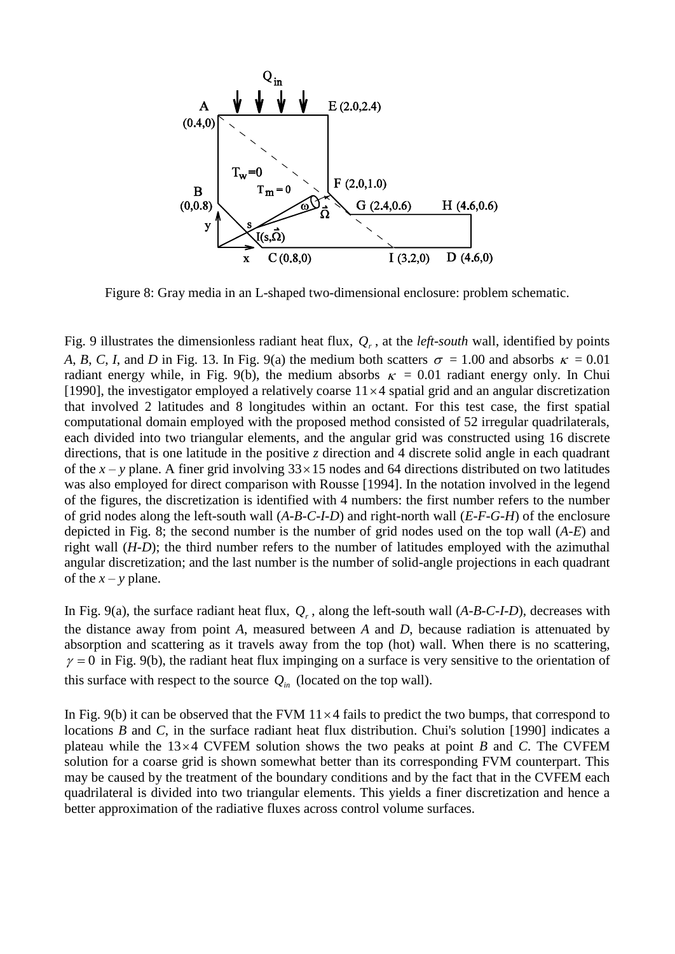

Figure 8: Gray media in an L-shaped two-dimensional enclosure: problem schematic.

Fig. 9 illustrates the dimensionless radiant heat flux,  $Q_r$ , at the *left-south* wall, identified by points *A*, *B*, *C*, *I*, and *D* in Fig. 13. In Fig. 9(a) the medium both scatters  $\sigma = 1.00$  and absorbs  $\kappa = 0.01$ radiant energy while, in Fig. 9(b), the medium absorbs  $\kappa = 0.01$  radiant energy only. In Chui [1990], the investigator employed a relatively coarse  $11 \times 4$  spatial grid and an angular discretization that involved 2 latitudes and 8 longitudes within an octant. For this test case, the first spatial computational domain employed with the proposed method consisted of 52 irregular quadrilaterals, each divided into two triangular elements, and the angular grid was constructed using 16 discrete directions, that is one latitude in the positive *z* direction and 4 discrete solid angle in each quadrant of the  $x - y$  plane. A finer grid involving  $33 \times 15$  nodes and 64 directions distributed on two latitudes was also employed for direct comparison with Rousse [1994]. In the notation involved in the legend of the figures, the discretization is identified with 4 numbers: the first number refers to the number of grid nodes along the left-south wall (*A-B-C-I-D*) and right-north wall (*E-F-G-H*) of the enclosure depicted in Fig. 8; the second number is the number of grid nodes used on the top wall (*A-E*) and right wall (*H-D*); the third number refers to the number of latitudes employed with the azimuthal angular discretization; and the last number is the number of solid-angle projections in each quadrant of the  $x - y$  plane.

In Fig. 9(a), the surface radiant heat flux,  $Q_r$ , along the left-south wall  $(A-B-C-I-D)$ , decreases with the distance away from point *A*, measured between *A* and *D*, because radiation is attenuated by absorption and scattering as it travels away from the top (hot) wall. When there is no scattering,  $\gamma = 0$  in Fig. 9(b), the radiant heat flux impinging on a surface is very sensitive to the orientation of this surface with respect to the source  $Q_{in}$  (located on the top wall).

In Fig.  $9(b)$  it can be observed that the FVM  $11 \times 4$  fails to predict the two bumps, that correspond to locations *B* and *C*, in the surface radiant heat flux distribution. Chui's solution [1990] indicates a plateau while the 13 4 CVFEM solution shows the two peaks at point *B* and *C*. The CVFEM solution for a coarse grid is shown somewhat better than its corresponding FVM counterpart. This may be caused by the treatment of the boundary conditions and by the fact that in the CVFEM each quadrilateral is divided into two triangular elements. This yields a finer discretization and hence a better approximation of the radiative fluxes across control volume surfaces.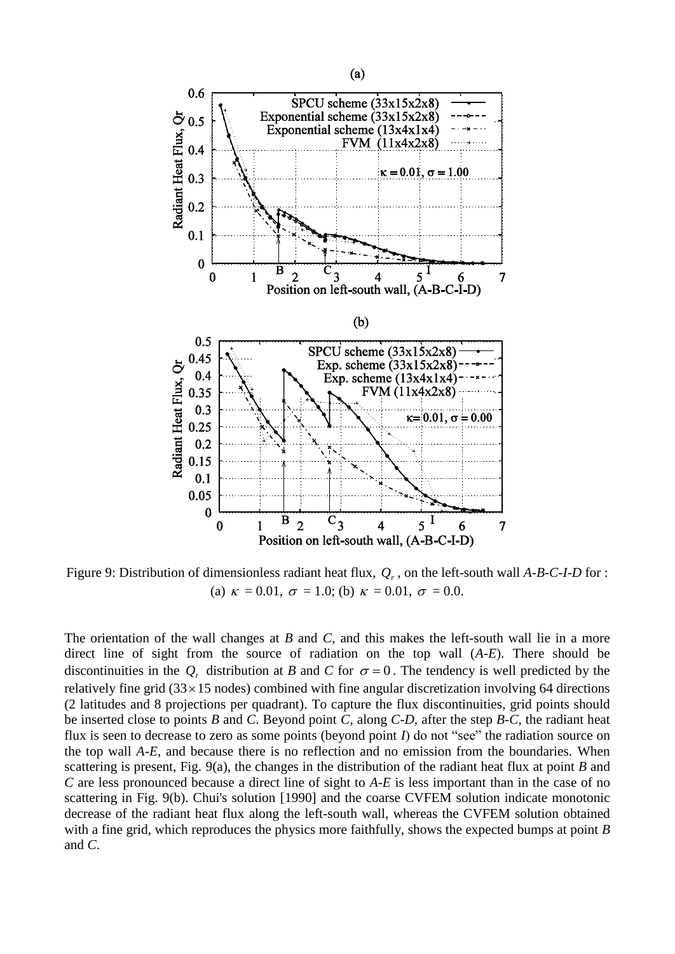

Figure 9: Distribution of dimensionless radiant heat flux, *Qr* , on the left-south wall *A-B-C-I-D* for : (a)  $\kappa = 0.01$ ,  $\sigma = 1.0$ ; (b)  $\kappa = 0.01$ ,  $\sigma = 0.0$ .

The orientation of the wall changes at *B* and *C*, and this makes the left-south wall lie in a more direct line of sight from the source of radiation on the top wall (*A-E*). There should be discontinuities in the  $Q_r$  distribution at *B* and *C* for  $\sigma = 0$ . The tendency is well predicted by the relatively fine grid (33 × 15 nodes) combined with fine angular discretization involving 64 directions (2 latitudes and 8 projections per quadrant). To capture the flux discontinuities, grid points should be inserted close to points *B* and *C*. Beyond point *C*, along *C-D*, after the step *B-C*, the radiant heat flux is seen to decrease to zero as some points (beyond point *I*) do not "see" the radiation source on the top wall *A-E*, and because there is no reflection and no emission from the boundaries. When scattering is present, Fig. 9(a), the changes in the distribution of the radiant heat flux at point *B* and *C* are less pronounced because a direct line of sight to *A-E* is less important than in the case of no scattering in Fig. 9(b). Chui's solution [1990] and the coarse CVFEM solution indicate monotonic decrease of the radiant heat flux along the left-south wall, whereas the CVFEM solution obtained with a fine grid, which reproduces the physics more faithfully, shows the expected bumps at point *B* and *C*.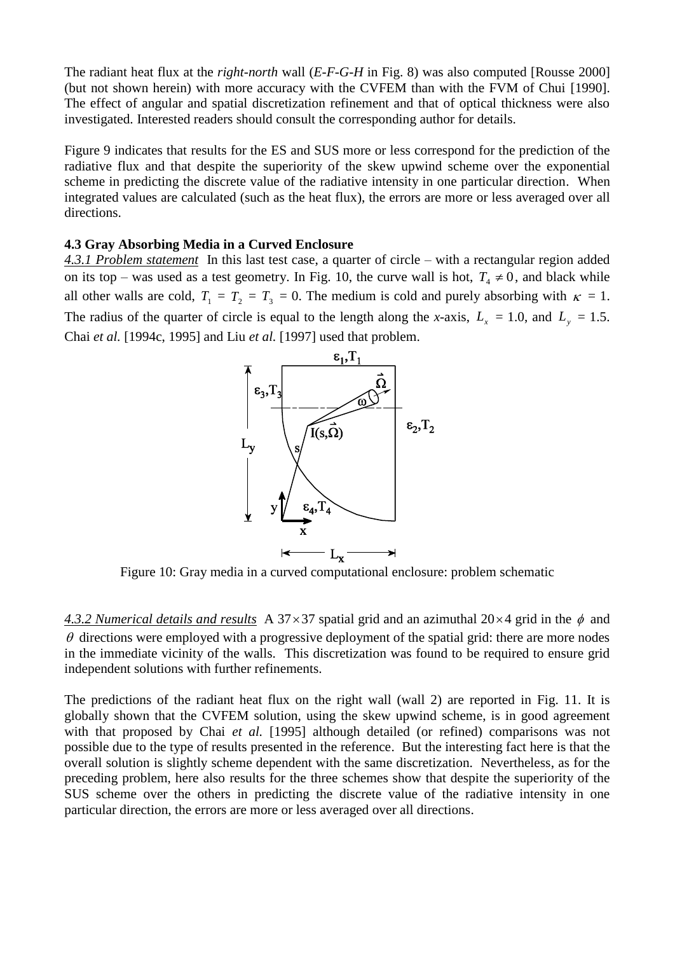The radiant heat flux at the *right-north* wall (*E-F-G-H* in Fig. 8) was also computed [Rousse 2000] (but not shown herein) with more accuracy with the CVFEM than with the FVM of Chui [1990]. The effect of angular and spatial discretization refinement and that of optical thickness were also investigated. Interested readers should consult the corresponding author for details.

Figure 9 indicates that results for the ES and SUS more or less correspond for the prediction of the radiative flux and that despite the superiority of the skew upwind scheme over the exponential scheme in predicting the discrete value of the radiative intensity in one particular direction. When integrated values are calculated (such as the heat flux), the errors are more or less averaged over all directions.

# **4.3 Gray Absorbing Media in a Curved Enclosure**

*4.3.1 Problem statement* In this last test case, a quarter of circle – with a rectangular region added on its top – was used as a test geometry. In Fig. 10, the curve wall is hot,  $T_4 \neq 0$ , and black while all other walls are cold,  $T_1 = T_2 = T_3 = 0$ . The medium is cold and purely absorbing with  $\kappa = 1$ . The radius of the quarter of circle is equal to the length along the *x*-axis,  $L_x = 1.0$ , and  $L_y = 1.5$ . Chai *et al.* [1994c, 1995] and Liu *et al.* [1997] used that problem.



Figure 10: Gray media in a curved computational enclosure: problem schematic

4.3.2 Numerical details and results A 37  $\times$  37 spatial grid and an azimuthal 20 $\times$ 4 grid in the  $\phi$  and  $\theta$  directions were employed with a progressive deployment of the spatial grid: there are more nodes in the immediate vicinity of the walls. This discretization was found to be required to ensure grid independent solutions with further refinements.

The predictions of the radiant heat flux on the right wall (wall 2) are reported in Fig. 11. It is globally shown that the CVFEM solution, using the skew upwind scheme, is in good agreement with that proposed by Chai *et al.* [1995] although detailed (or refined) comparisons was not possible due to the type of results presented in the reference. But the interesting fact here is that the overall solution is slightly scheme dependent with the same discretization. Nevertheless, as for the preceding problem, here also results for the three schemes show that despite the superiority of the SUS scheme over the others in predicting the discrete value of the radiative intensity in one particular direction, the errors are more or less averaged over all directions.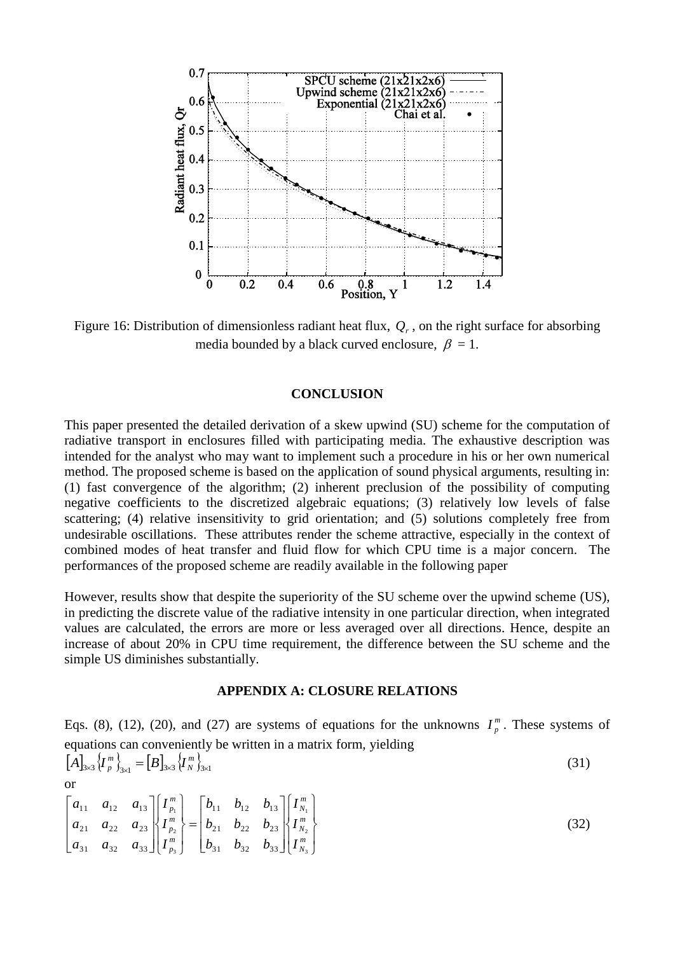

Figure 16: Distribution of dimensionless radiant heat flux, *Qr* , on the right surface for absorbing media bounded by a black curved enclosure,  $\beta = 1$ .

## **CONCLUSION**

This paper presented the detailed derivation of a skew upwind (SU) scheme for the computation of radiative transport in enclosures filled with participating media. The exhaustive description was intended for the analyst who may want to implement such a procedure in his or her own numerical method. The proposed scheme is based on the application of sound physical arguments, resulting in: (1) fast convergence of the algorithm; (2) inherent preclusion of the possibility of computing negative coefficients to the discretized algebraic equations; (3) relatively low levels of false scattering; (4) relative insensitivity to grid orientation; and (5) solutions completely free from undesirable oscillations. These attributes render the scheme attractive, especially in the context of combined modes of heat transfer and fluid flow for which CPU time is a major concern. The performances of the proposed scheme are readily available in the following paper

However, results show that despite the superiority of the SU scheme over the upwind scheme (US), in predicting the discrete value of the radiative intensity in one particular direction, when integrated values are calculated, the errors are more or less averaged over all directions. Hence, despite an increase of about 20% in CPU time requirement, the difference between the SU scheme and the simple US diminishes substantially.

## **APPENDIX A: CLOSURE RELATIONS**

Eqs. (8), (12), (20), and (27) are systems of equations for the unknowns  $I_n^m$  $I_p^m$ . These systems of equations can conveniently be written in a matrix form, yielding  $\left[A\right]_{3\times3}\left\{I_{p}^{m}\right\}_{3\times1}=\left[B\right]_{3\times3}\left\{I_{N}^{m}\right\}_{3\times1}$ *N*  $\{A\}^3_{3\times 3}\left\{I^{\,m}_{p}\right\}^3_{3\times 1} = \left[B\right]_{3\times 3}\left\{I\right\}$ (31)

or

$$
\begin{bmatrix} a_{11} & a_{12} & a_{13} \ a_{21} & a_{22} & a_{23} \ a_{31} & a_{32} & a_{33} \end{bmatrix} \begin{bmatrix} I_{p_1}^m \\ I_{p_2}^m \\ I_{p_3}^m \end{bmatrix} = \begin{bmatrix} b_{11} & b_{12} & b_{13} \ b_{21} & b_{22} & b_{23} \ b_{31} & b_{32} & b_{33} \end{bmatrix} \begin{bmatrix} I_{N_1}^m \\ I_{N_2}^m \\ I_{N_3}^m \end{bmatrix}
$$
 (32)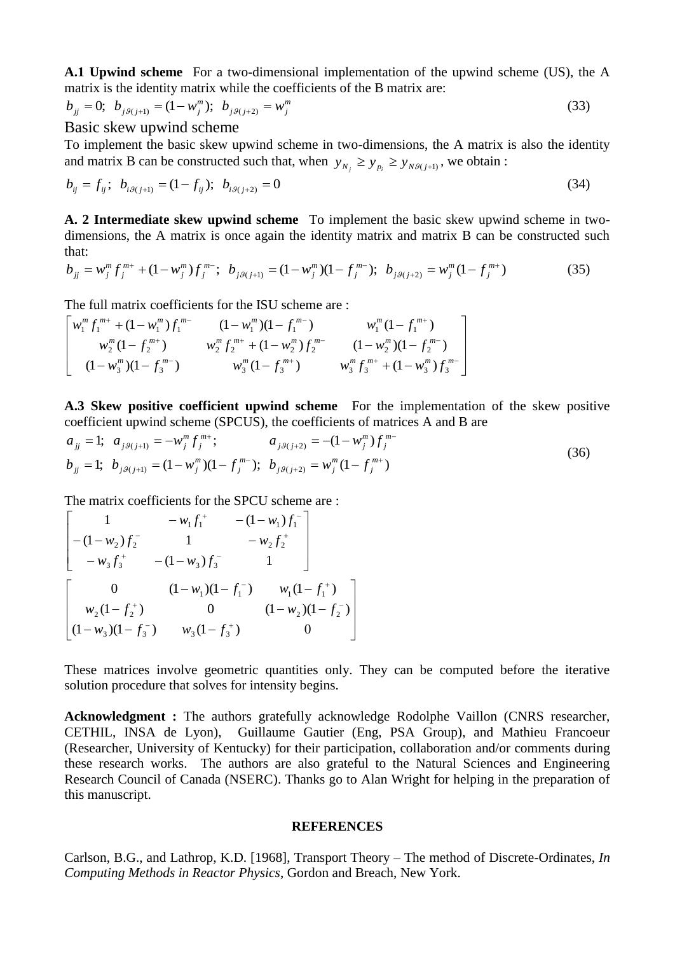**A.1 Upwind scheme** For a two-dimensional implementation of the upwind scheme (US), the A matrix is the identity matrix while the coefficients of the B matrix are:

$$
b_{jj} = 0; \ b_{j,9(j+1)} = (1 - w_j^m); \ b_{j,9(j+2)} = w_j^m
$$
 (33)

Basic skew upwind scheme

To implement the basic skew upwind scheme in two-dimensions, the A matrix is also the identity and matrix B can be constructed such that, when  $y_{N_j} \ge y_{p_i} \ge y_{N, g(j+1)}$ , we obtain :

$$
b_{ij} = f_{ij}; \ b_{i\theta(j+1)} = (1 - f_{ij}); \ b_{i\theta(j+2)} = 0 \tag{34}
$$

**A. 2 Intermediate skew upwind scheme** To implement the basic skew upwind scheme in twodimensions, the A matrix is once again the identity matrix and matrix B can be constructed such that:

$$
b_{jj} = w_j^m f_j^{m+} + (1 - w_j^m) f_j^{m-}; \ b_{j\beta(j+1)} = (1 - w_j^m)(1 - f_j^{m-}); \ b_{j\beta(j+2)} = w_j^m (1 - f_j^{m+})
$$
 (35)

The full matrix coefficients for the ISU scheme are :

$$
\begin{bmatrix} w_1^m f_1^{m+} + (1 - w_1^m) f_1^{m-} & (1 - w_1^m) (1 - f_1^{m-}) & w_1^m (1 - f_1^{m+}) \\ w_2^m (1 - f_2^{m+}) & w_2^m f_2^{m+} + (1 - w_2^m) f_2^{m-} & (1 - w_2^m) (1 - f_2^{m-}) \\ (1 - w_3^m) (1 - f_3^{m-}) & w_3^m (1 - f_3^{m+}) & w_3^m f_3^{m+} + (1 - w_3^m) f_3^{m-} \end{bmatrix}
$$

**A.3 Skew positive coefficient upwind scheme** For the implementation of the skew positive coefficient upwind scheme (SPCUS), the coefficients of matrices A and B are

$$
a_{jj} = 1; \ a_{j\theta(j+1)} = -w_j^m f_j^{m+}; \qquad a_{j\theta(j+2)} = -(1 - w_j^m) f_j^{m-}
$$
  
\n
$$
b_{jj} = 1; \ b_{j\theta(j+1)} = (1 - w_j^m)(1 - f_j^{m-}); \ b_{j\theta(j+2)} = w_j^m (1 - f_j^{m+})
$$
\n(36)

The matrix coefficients for the SPCU scheme are :

$$
\begin{bmatrix}\n1 & -w_1 f_1^+ & -(1-w_1) f_1^- \\
-(1-w_2) f_2^- & 1 & -w_2 f_2^+ \\
-w_3 f_3^+ & -(1-w_3) f_3^- & 1\n\end{bmatrix}
$$
\n
$$
\begin{bmatrix}\n0 & (1-w_1)(1-f_1^-) & w_1(1-f_1^+) \\
w_2(1-f_2^+) & 0 & (1-w_2)(1-f_2^-) \\
(1-w_3)(1-f_3^-) & w_3(1-f_3^+) & 0\n\end{bmatrix}
$$

These matrices involve geometric quantities only. They can be computed before the iterative solution procedure that solves for intensity begins.

**Acknowledgment :** The authors gratefully acknowledge Rodolphe Vaillon (CNRS researcher, CETHIL, INSA de Lyon), Guillaume Gautier (Eng, PSA Group), and Mathieu Francoeur (Researcher, University of Kentucky) for their participation, collaboration and/or comments during these research works. The authors are also grateful to the Natural Sciences and Engineering Research Council of Canada (NSERC). Thanks go to Alan Wright for helping in the preparation of this manuscript.

### **REFERENCES**

Carlson, B.G., and Lathrop, K.D. [1968], Transport Theory – The method of Discrete-Ordinates, *In Computing Methods in Reactor Physics*, Gordon and Breach, New York.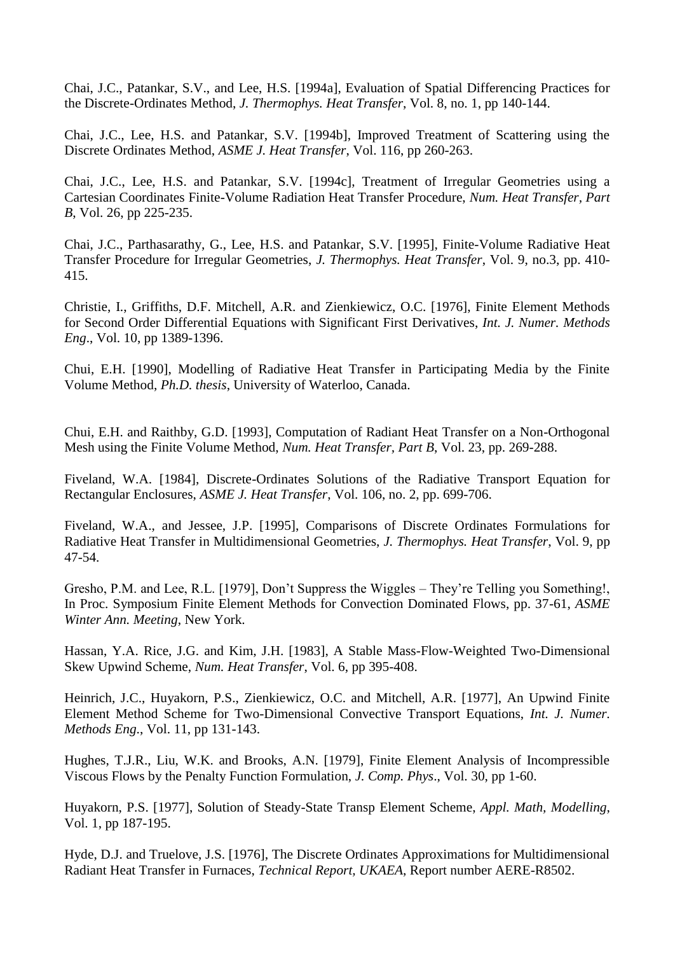Chai, J.C., Patankar, S.V., and Lee, H.S. [1994a], Evaluation of Spatial Differencing Practices for the Discrete-Ordinates Method, *J. Thermophys. Heat Transfer*, Vol. 8, no. 1, pp 140-144.

Chai, J.C., Lee, H.S. and Patankar, S.V. [1994b], Improved Treatment of Scattering using the Discrete Ordinates Method, *ASME J. Heat Transfer*, Vol. 116, pp 260-263.

Chai, J.C., Lee, H.S. and Patankar, S.V. [1994c], Treatment of Irregular Geometries using a Cartesian Coordinates Finite-Volume Radiation Heat Transfer Procedure, *Num. Heat Transfer, Part B*, Vol. 26, pp 225-235.

Chai, J.C., Parthasarathy, G., Lee, H.S. and Patankar, S.V. [1995], Finite-Volume Radiative Heat Transfer Procedure for Irregular Geometries, *J. Thermophys. Heat Transfer*, Vol. 9, no.3, pp. 410- 415.

Christie, I., Griffiths, D.F. Mitchell, A.R. and Zienkiewicz, O.C. [1976], Finite Element Methods for Second Order Differential Equations with Significant First Derivatives, *Int. J. Numer. Methods Eng*., Vol. 10, pp 1389-1396.

Chui, E.H. [1990], Modelling of Radiative Heat Transfer in Participating Media by the Finite Volume Method, *Ph.D. thesis*, University of Waterloo, Canada.

Chui, E.H. and Raithby, G.D. [1993], Computation of Radiant Heat Transfer on a Non-Orthogonal Mesh using the Finite Volume Method, *Num. Heat Transfer, Part B*, Vol. 23, pp. 269-288.

Fiveland, W.A. [1984], Discrete-Ordinates Solutions of the Radiative Transport Equation for Rectangular Enclosures, *ASME J. Heat Transfer*, Vol. 106, no. 2, pp. 699-706.

Fiveland, W.A., and Jessee, J.P. [1995], Comparisons of Discrete Ordinates Formulations for Radiative Heat Transfer in Multidimensional Geometries, *J. Thermophys. Heat Transfer*, Vol. 9, pp 47-54.

Gresho, P.M. and Lee, R.L. [1979], Don't Suppress the Wiggles – They're Telling you Something!, In Proc. Symposium Finite Element Methods for Convection Dominated Flows, pp. 37-61, *ASME Winter Ann. Meeting*, New York.

Hassan, Y.A. Rice, J.G. and Kim, J.H. [1983], A Stable Mass-Flow-Weighted Two-Dimensional Skew Upwind Scheme, *Num. Heat Transfer*, Vol. 6, pp 395-408.

Heinrich, J.C., Huyakorn, P.S., Zienkiewicz, O.C. and Mitchell, A.R. [1977], An Upwind Finite Element Method Scheme for Two-Dimensional Convective Transport Equations, *Int. J. Numer. Methods Eng*., Vol. 11, pp 131-143.

Hughes, T.J.R., Liu, W.K. and Brooks, A.N. [1979], Finite Element Analysis of Incompressible Viscous Flows by the Penalty Function Formulation, *J. Comp. Phys*., Vol. 30, pp 1-60.

Huyakorn, P.S. [1977], Solution of Steady-State Transp Element Scheme, *Appl. Math, Modelling*, Vol. 1, pp 187-195.

Hyde, D.J. and Truelove, J.S. [1976], The Discrete Ordinates Approximations for Multidimensional Radiant Heat Transfer in Furnaces, *Technical Report, UKAEA*, Report number AERE-R8502.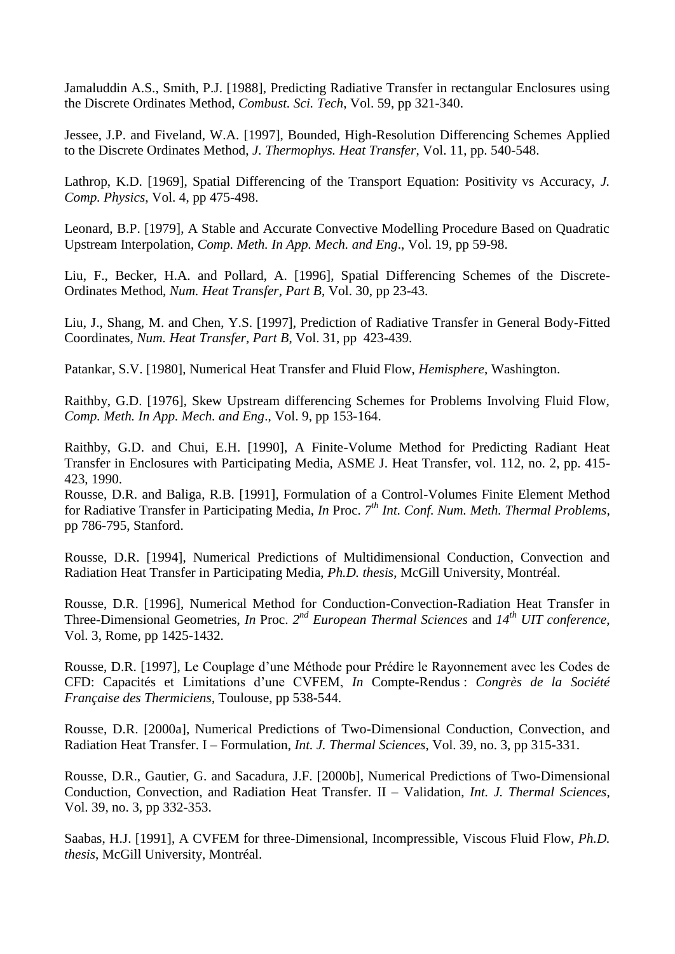Jamaluddin A.S., Smith, P.J. [1988], Predicting Radiative Transfer in rectangular Enclosures using the Discrete Ordinates Method, *Combust. Sci. Tech*, Vol. 59, pp 321-340.

Jessee, J.P. and Fiveland, W.A. [1997], Bounded, High-Resolution Differencing Schemes Applied to the Discrete Ordinates Method, *J. Thermophys. Heat Transfer*, Vol. 11, pp. 540-548.

Lathrop, K.D. [1969], Spatial Differencing of the Transport Equation: Positivity vs Accuracy, *J. Comp. Physics*, Vol. 4, pp 475-498.

Leonard, B.P. [1979], A Stable and Accurate Convective Modelling Procedure Based on Quadratic Upstream Interpolation, *Comp. Meth. In App. Mech. and Eng*., Vol. 19, pp 59-98.

Liu, F., Becker, H.A. and Pollard, A. [1996], Spatial Differencing Schemes of the Discrete-Ordinates Method, *Num. Heat Transfer, Part B*, Vol. 30, pp 23-43.

Liu, J., Shang, M. and Chen, Y.S. [1997], Prediction of Radiative Transfer in General Body-Fitted Coordinates, *Num. Heat Transfer, Part B*, Vol. 31, pp 423-439.

Patankar, S.V. [1980], Numerical Heat Transfer and Fluid Flow, *Hemisphere*, Washington.

Raithby, G.D. [1976], Skew Upstream differencing Schemes for Problems Involving Fluid Flow, *Comp. Meth. In App. Mech. and Eng*., Vol. 9, pp 153-164.

Raithby, G.D. and Chui, E.H. [1990], A Finite-Volume Method for Predicting Radiant Heat Transfer in Enclosures with Participating Media, ASME J. Heat Transfer, vol. 112, no. 2, pp. 415- 423, 1990.

Rousse, D.R. and Baliga, R.B. [1991], Formulation of a Control-Volumes Finite Element Method for Radiative Transfer in Participating Media, *In* Proc. *7 th Int. Conf. Num. Meth. Thermal Problems,* pp 786-795, Stanford.

Rousse, D.R. [1994], Numerical Predictions of Multidimensional Conduction, Convection and Radiation Heat Transfer in Participating Media, *Ph.D. thesis*, McGill University, Montréal.

Rousse, D.R. [1996], Numerical Method for Conduction-Convection-Radiation Heat Transfer in Three-Dimensional Geometries, *In* Proc. *2 nd European Thermal Sciences* and *14th UIT conference*, Vol. 3, Rome, pp 1425-1432.

Rousse, D.R. [1997], Le Couplage d'une Méthode pour Prédire le Rayonnement avec les Codes de CFD: Capacités et Limitations d'une CVFEM, *In* Compte-Rendus : *Congrès de la Société Française des Thermiciens*, Toulouse, pp 538-544.

Rousse, D.R. [2000a], Numerical Predictions of Two-Dimensional Conduction, Convection, and Radiation Heat Transfer. I – Formulation, *Int. J. Thermal Sciences*, Vol. 39, no. 3, pp 315-331.

Rousse, D.R., Gautier, G. and Sacadura, J.F. [2000b], Numerical Predictions of Two-Dimensional Conduction, Convection, and Radiation Heat Transfer. II – Validation, *Int. J. Thermal Sciences*, Vol. 39, no. 3, pp 332-353.

Saabas, H.J. [1991], A CVFEM for three-Dimensional, Incompressible, Viscous Fluid Flow, *Ph.D. thesis*, McGill University, Montréal.